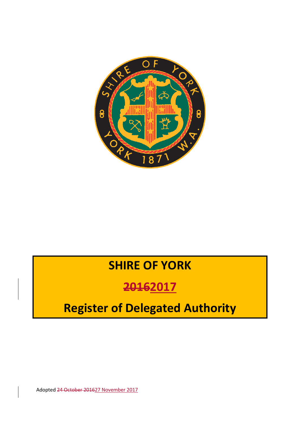

# **SHIRE OF YORK**

# **20162017**

# **Register of Delegated Authority**

Adopted 24 October 201627 November 2017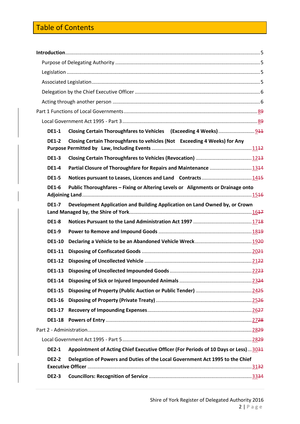### Table of Contents

| <b>DE1-1</b>  |                                                                                     |  |  |
|---------------|-------------------------------------------------------------------------------------|--|--|
| <b>DE1-2</b>  | Closing Certain Thoroughfares to vehicles (Not Exceeding 4 Weeks) for Any           |  |  |
| <b>DE1-3</b>  |                                                                                     |  |  |
| <b>DE1-4</b>  | Partial Closure of Thoroughfare for Repairs and Maintenance  1344                   |  |  |
| <b>DE1-5</b>  |                                                                                     |  |  |
| <b>DE1-6</b>  | Public Thoroughfares - Fixing or Altering Levels or Alignments or Drainage onto     |  |  |
| <b>DE1-7</b>  | Development Application and Building Application on Land Owned by, or Crown         |  |  |
| <b>DE1-8</b>  |                                                                                     |  |  |
| <b>DE1-9</b>  |                                                                                     |  |  |
| <b>DE1-10</b> |                                                                                     |  |  |
| <b>DE1-11</b> |                                                                                     |  |  |
| <b>DE1-12</b> |                                                                                     |  |  |
| <b>DE1-13</b> |                                                                                     |  |  |
| <b>DE1-14</b> |                                                                                     |  |  |
| <b>DE1-15</b> |                                                                                     |  |  |
| <b>DE1-16</b> |                                                                                     |  |  |
| <b>DE1-17</b> |                                                                                     |  |  |
| <b>DE1-18</b> |                                                                                     |  |  |
|               |                                                                                     |  |  |
|               |                                                                                     |  |  |
| <b>DE2-1</b>  | Appointment of Acting Chief Executive Officer (For Periods of 10 Days or Less) 3034 |  |  |
| <b>DE2-2</b>  | Delegation of Powers and Duties of the Local Government Act 1995 to the Chief       |  |  |
| <b>DE2-3</b>  |                                                                                     |  |  |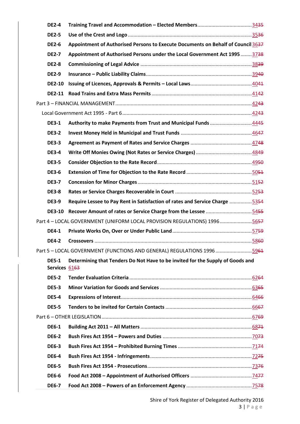| <b>DE2-4</b>                  |                                                                                  |  |
|-------------------------------|----------------------------------------------------------------------------------|--|
| <b>DE2-5</b>                  |                                                                                  |  |
| <b>DE2-6</b>                  | Appointment of Authorised Persons to Execute Documents on Behalf of Council 3637 |  |
| <b>DE2-7</b>                  | Appointment of Authorised Persons under the Local Government Act 1995  3738      |  |
| <b>DE2-8</b>                  |                                                                                  |  |
| <b>DE2-9</b>                  |                                                                                  |  |
| <b>DE2-10</b>                 |                                                                                  |  |
|                               |                                                                                  |  |
|                               |                                                                                  |  |
|                               |                                                                                  |  |
| <b>DE3-1</b>                  | Authority to make Payments from Trust and Municipal Funds  4445                  |  |
| <b>DE3-2</b>                  |                                                                                  |  |
| <b>DE3-3</b>                  |                                                                                  |  |
| <b>DE3-4</b>                  |                                                                                  |  |
| <b>DE3-5</b>                  |                                                                                  |  |
| <b>DE3-6</b>                  |                                                                                  |  |
| <b>DE3-7</b>                  |                                                                                  |  |
| <b>DE3-8</b>                  |                                                                                  |  |
| <b>DE3-9</b>                  | Require Lessee to Pay Rent in Satisfaction of rates and Service Charge 5354      |  |
| <b>DE3-10</b>                 |                                                                                  |  |
|                               | Part 4 - LOCAL GOVERNMENT (UNIFORM LOCAL PROVISION REGULATIONS) 19965657         |  |
| <b>DE4-1</b>                  |                                                                                  |  |
| <b>DE4-2</b>                  |                                                                                  |  |
|                               | Part 5 - LOCAL GOVERNMENT (FUNCTIONS AND GENERAL) REGULATIONS 1996 5961          |  |
| <b>DE5-1</b><br>Services 6163 | Determining that Tenders Do Not Have to be invited for the Supply of Goods and   |  |
| <b>DE5-2</b>                  |                                                                                  |  |
| <b>DE5-3</b>                  |                                                                                  |  |
| <b>DE5-4</b>                  |                                                                                  |  |
| <b>DE5-5</b>                  |                                                                                  |  |
|                               |                                                                                  |  |
| <b>DE6-1</b>                  |                                                                                  |  |
| <b>DE6-2</b>                  |                                                                                  |  |
| <b>DE6-3</b>                  |                                                                                  |  |
| <b>DE6-4</b>                  |                                                                                  |  |
| <b>DE6-5</b>                  |                                                                                  |  |
| <b>DE6-6</b>                  |                                                                                  |  |
| <b>DE6-7</b>                  |                                                                                  |  |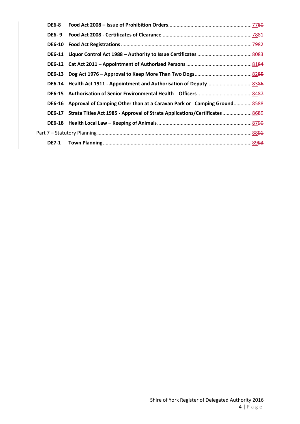| <b>DE6-8</b> |                                                                                  |  |
|--------------|----------------------------------------------------------------------------------|--|
| <b>DE6-9</b> |                                                                                  |  |
|              |                                                                                  |  |
|              |                                                                                  |  |
|              |                                                                                  |  |
|              |                                                                                  |  |
|              | DE6-14 Health Act 1911 - Appointment and Authorisation of Deputy 8386            |  |
|              |                                                                                  |  |
|              | DE6-16 Approval of Camping Other than at a Caravan Park or Camping Ground 8588   |  |
|              | DE6-17 Strata Titles Act 1985 - Approval of Strata Applications/Certificates8689 |  |
|              |                                                                                  |  |
|              |                                                                                  |  |
|              |                                                                                  |  |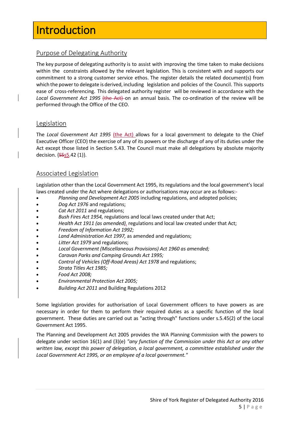# <span id="page-4-0"></span>**Introduction**

#### <span id="page-4-1"></span>Purpose of Delegating Authority

The key purpose of delegating authority is to assist with improving the time taken to make decisions within the constraints allowed by the relevant legislation. This is consistent with and supports our commitment to a strong customer service ethos. The register details the related document(s) from which the powerto delegate is derived, including legislation and policies of the Council. This supports ease of cross-referencing. This delegated authority register will be reviewed in accordance with the *Local Government Act 1995* (the Act) on an annual basis. The co-ordination of the review will be performed through the Office of the CEO.

#### <span id="page-4-2"></span>Legislation

The Local Government Act 1995 (the Act) allows for a local government to delegate to the Chief Executive Officer (CEO) the exercise of any of its powers or the discharge of any of its duties under the Act except those listed in Section 5.43. The Council must make all delegations by absolute majority decision. {  $555.42$  (1)}.

#### <span id="page-4-3"></span>Associated Legislation

Legislation other than the Local Government Act 1995, its regulations and the local government's local laws created under the Act where delegations or authorisations may occur are as follows:-

- *Planning and Development Act 2005* including regulations, and adopted policies;
- *Dog Act 1976* and regulations;
- *Cat Act 2011* and regulations;
- *Bush Fires Act 1954,* regulations and local laws created under that Act;
- *Health Act 1911 (as amended),* regulations and local law created under that Act;
- *Freedom of Information Act 1992;*
- *Land Administration Act 1997,* as amended and regulations;
- *Litter Act 1979* and regulations;
- *Local Government (Miscellaneous Provisions) Act 1960 as amended;*
- *Caravan Parks and Camping Grounds Act 1995;*
- *Control of Vehicles (Off-Road Areas) Act 1978* and regulations;
- *Strata Titles Act 1985;*
- *Food Act 2008;*
- *Environmental Protection Act 2005;*
- *Building Act 2011* and Building Regulations 2012

Some legislation provides for authorisation of Local Government officers to have powers as are necessary in order for them to perform their required duties as a specific function of the local government. These duties are carried out as "acting through" functions under s.5.45(2) of the Local Government Act 1995.

The Planning and Development Act 2005 provides the WA Planning Commission with the powers to delegate under section 16(1) and (3)(e) *"any function of the Commission under this Act or any other written law, except this power of delegation, a local government, a committee established under the Local Government Act 1995, or an employee of a local government."*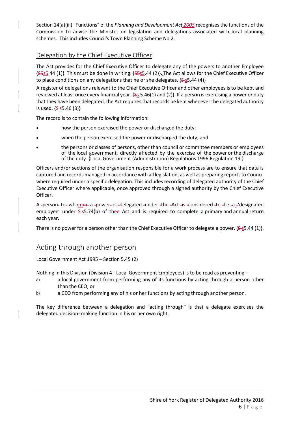Section 14(a)(iii) "Functions" of the *Planning and Development Act 2005* recognises the functions of the Commission to advise the Minister on legislation and delegations associated with local planning schemes. This includes Council's Town Planning Scheme No 2.

#### <span id="page-5-0"></span>Delegation by the Chief Executive Officer

The Act provides for the Chief Executive Officer to delegate any of the powers to another Employee {S5s5.44 (1)}. This must be done in writing. {S5s5.44 (2)}. The Act allows for the Chief Executive Officer to place conditions on any delegations that he or she delegates.  $\{S-S.44 \}$ 

A register of delegations relevant to the Chief Executive Officer and other employees is to be kept and reviewed at least once every financial year.  $\{S_5.5.46(1)$  and (2)}. If a person is exercising a power or duty that they have been delegated, the Act requires that records be kept whenever the delegated authority is used.  $\{5 - s5.46 (3)\}$ 

The record is to contain the following information:

- how the person exercised the power or discharged the duty;
- when the person exercised the power or discharged the duty; and
- the persons or classes of persons, other than council or committee members or employees of the local government, directly affected by the exercise of the power or the discharge of the duty. {Local Government (Administration) Regulations 1996 Regulation 19.}

Officers and/or sections of the organisation responsible for a work process are to ensure that data is captured and records managed in accordance with all legislation, as well as preparing reports to Council where required under a specific delegation. This includes recording of delegated authority of the Chief Executive Officer where applicable, once approved through a signed authority by the Chief Executive Officer.

A -person- to- whomm a -power- is -delegated -under -the -Act -is -considered -to -be -a - 'designated employee' -under -\$-55.74(b) -of-thee-Act- and -is -required-to -complete -a primary and annual return each year.

There is no power for a person other than the Chief Executive Officer to delegate a power.  $\{S\text{-}s5.44 \}(1)\}$ .

#### <span id="page-5-1"></span>Acting through another person

Local Government Act 1995 – Section 5.45 (2)

Nothing in this Division (Division 4 - Local Government Employees) is to be read as preventing –

- a) a local government from performing any of its functions by acting through a person other than the CEO; or
- b) a CEO from performing any of his or her functions by acting through another person.

The key difference between a delegation and "acting through" is that a delegate exercises the delegated decision--making function in his or her own right.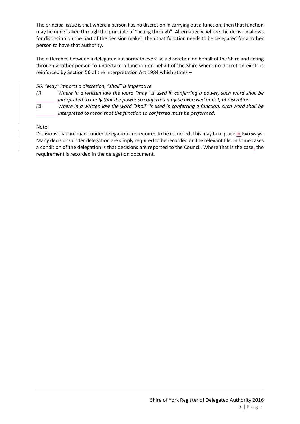The principal issue is that where a person has no discretion in carrying out a function, then that function may be undertaken through the principle of "acting through". Alternatively, where the decision allows for discretion on the part of the decision maker, then that function needs to be delegated for another person to have that authority.

The difference between a delegated authority to exercise a discretion on behalf of the Shire and acting through another person to undertake a function on behalf of the Shire where no discretion exists is reinforced by Section 56 of the Interpretation Act 1984 which states –

#### *56. "May" imports a discretion, "shall" is imperative*

- *(1) Where in a written law the word "may" is used in conferring a power, such word shall be interpreted to imply that the power so conferred may be exercised or not, at discretion.*
- *(2) Where in a written law the word "shall" is used in conferring a function, such word shall be interpreted to mean that the function so conferred must be performed.*

#### Note:

Decisions that are made under delegation are required to be recorded. This may take place in two ways. Many decisions under delegation are simply required to be recorded on the relevant file. In some cases a condition of the delegation is that decisions are reported to the Council. Where that is the case, the requirement is recorded in the delegation document.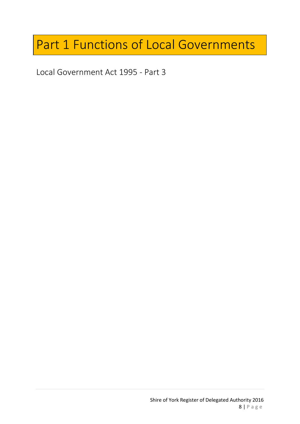# <span id="page-7-0"></span>Part 1 Functions of Local Governments

<span id="page-7-1"></span>Local Government Act 1995 - Part 3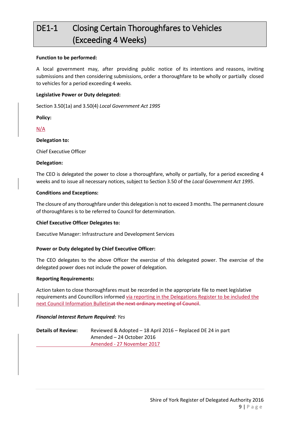# <span id="page-8-0"></span>DE1-1 Closing Certain Thoroughfares to Vehicles (Exceeding 4 Weeks)

#### **Function to be performed:**

A local government may, after providing public notice of its intentions and reasons, inviting submissions and then considering submissions, order a thoroughfare to be wholly or partially closed to vehicles for a period exceeding 4 weeks.

#### **Legislative Power or Duty delegated:**

Section 3.50(1a) and 3.50(4) *Local Government Act 1995*

**Policy:**

N/A

#### **Delegation to:**

Chief Executive Officer

#### **Delegation:**

The CEO is delegated the power to close a thoroughfare, wholly or partially, for a period exceeding 4 weeks and to issue all necessary notices, subject to Section 3.50 of the *Local Government Act 1995*.

#### **Conditions and Exceptions:**

The closure of any thoroughfare under this delegation is not to exceed 3 months. The permanent closure of thoroughfares is to be referred to Council for determination.

#### **Chief Executive Officer Delegates to:**

Executive Manager: Infrastructure and Development Services

#### **Power or Duty delegated by Chief Executive Officer:**

The CEO delegates to the above Officer the exercise of this delegated power. The exercise of the delegated power does not include the power of delegation.

#### **Reporting Requirements:**

Action taken to close thoroughfares must be recorded in the appropriate file to meet legislative requirements and Councillors informed via reporting in the Delegations Register to be included the next Council Information Bulletinat the next ordinary meeting of Council.

#### *Financial Interest Return Required: Yes*

**Details of Review:** Reviewed & Adopted – 18 April 2016 – Replaced DE 24 in part Amended – 24 October 2016 Amended - 27 November 2017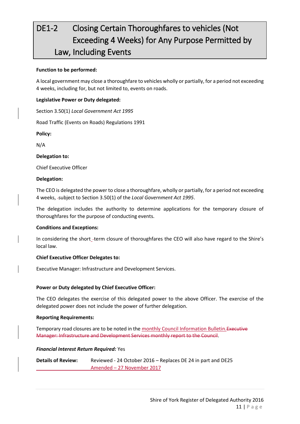# <span id="page-10-0"></span>DE1-2 Closing Certain Thoroughfares to vehicles (Not Exceeding 4 Weeks) for Any Purpose Permitted by Law, Including Events

#### **Function to be performed:**

A local government may close a thoroughfare to vehicles wholly or partially, for a period not exceeding 4 weeks, including for, but not limited to, events on roads.

#### **Legislative Power or Duty delegated:**

Section 3.50(1) *Local Government Act 1995*

Road Traffic (Events on Roads) Regulations 1991

**Policy:**

N/A

#### **Delegation to:**

Chief Executive Officer

#### **Delegation:**

The CEO is delegated the power to close a thoroughfare, wholly or partially, for a period not exceeding 4 weeks, subject to Section 3.50(1) of the *Local Government Act 1995*.

The delegation includes the authority to determine applications for the temporary closure of thoroughfares for the purpose of conducting events.

#### **Conditions and Exceptions:**

In considering the short\_-term closure of thoroughfares the CEO will also have regard to the Shire's local law.

#### **Chief Executive Officer Delegates to:**

Executive Manager: Infrastructure and Development Services.

#### **Power or Duty delegated by Chief Executive Officer:**

The CEO delegates the exercise of this delegated power to the above Officer. The exercise of the delegated power does not include the power of further delegation.

#### **Reporting Requirements:**

Temporary road closures are to be noted in the monthly Council Information Bulletin. Executive Manager: Infrastructure and Development Services monthly report to the Council.

#### *Financial Interest Return Required:* Yes

**Details of Review:** Reviewed - 24 October 2016 – Replaces DE 24 in part and DE25 Amended – 27 November 2017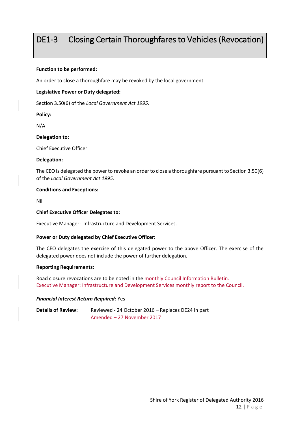### <span id="page-11-0"></span>DE1-3 Closing Certain Thoroughfares to Vehicles (Revocation)

#### **Function to be performed:**

An order to close a thoroughfare may be revoked by the local government.

#### **Legislative Power or Duty delegated:**

Section 3.50(6) of the *Local Government Act 1995*.

#### **Policy:**

N/A

#### **Delegation to:**

Chief Executive Officer

#### **Delegation:**

The CEO is delegated the power to revoke an order to close a thoroughfare pursuant to Section 3.50(6) of the *Local Government Act 1995*.

#### **Conditions and Exceptions:**

Nil

#### **Chief Executive Officer Delegates to:**

Executive Manager: Infrastructure and Development Services.

#### **Power or Duty delegated by Chief Executive Officer:**

The CEO delegates the exercise of this delegated power to the above Officer. The exercise of the delegated power does not include the power of further delegation.

#### **Reporting Requirements:**

Road closure revocations are to be noted in the monthly Council Information Bulletin. Executive Manager: Infrastructure and Development Services monthly report to the Council.

#### *Financial Interest Return Required:* Yes

**Details of Review:** Reviewed - 24 October 2016 – Replaces DE24 in part Amended – 27 November 2017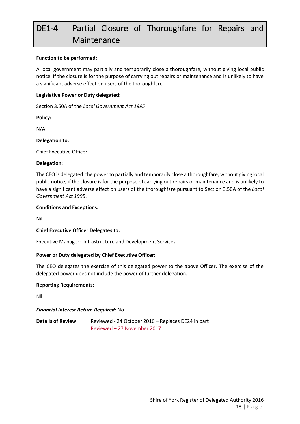# <span id="page-12-0"></span>DE1-4 Partial Closure of Thoroughfare for Repairs and Maintenance

#### **Function to be performed:**

A local government may partially and temporarily close a thoroughfare, without giving local public notice, if the closure is for the purpose of carrying out repairs or maintenance and is unlikely to have a significant adverse effect on users of the thoroughfare.

#### **Legislative Power or Duty delegated:**

Section 3.50A of the *Local Government Act 1995*

**Policy:**

N/A

#### **Delegation to:**

Chief Executive Officer

#### **Delegation:**

The CEO is delegated the power to partially and temporarily close a thoroughfare, without giving local public notice, if the closure is for the purpose of carrying out repairs or maintenance and is unlikely to have a significant adverse effect on users of the thoroughfare pursuant to Section 3.50A of the *Local Government Act 1995*.

#### **Conditions and Exceptions:**

Nil

#### **Chief Executive Officer Delegates to:**

Executive Manager: Infrastructure and Development Services.

#### **Power or Duty delegated by Chief Executive Officer:**

The CEO delegates the exercise of this delegated power to the above Officer. The exercise of the delegated power does not include the power of further delegation.

#### **Reporting Requirements:**

Nil

#### *Financial Interest Return Required:* No

**Details of Review:** Reviewed - 24 October 2016 – Replaces DE24 in part Reviewed – 27 November 2017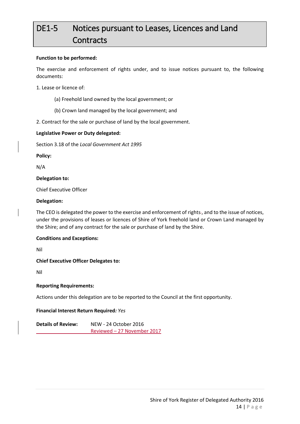# <span id="page-13-0"></span>DE1-5 Notices pursuant to Leases, Licences and Land **Contracts**

#### **Function to be performed:**

The exercise and enforcement of rights under, and to issue notices pursuant to, the following documents:

1. Lease or licence of:

- (a) Freehold land owned by the local government; or
- (b) Crown land managed by the local government; and
- 2. Contract for the sale or purchase of land by the local government.

#### **Legislative Power or Duty delegated:**

Section 3.18 of the *Local Government Act 1995*

**Policy:**

N/A

#### **Delegation to:**

Chief Executive Officer

#### **Delegation:**

The CEO is delegated the power to the exercise and enforcement of rights-, and to the issue of notices, under the provisions of leases or licences of Shire of York freehold land or Crown Land managed by the Shire; and of any contract for the sale or purchase of land by the Shire.

#### **Conditions and Exceptions:**

Nil

#### **Chief Executive Officer Delegates to:**

Nil

#### **Reporting Requirements:**

Actions under this delegation are to be reported to the Council at the first opportunity.

#### **Financial Interest Return Required***: Yes*

**Details of Review:** NEW - 24 October 2016 Reviewed – 27 November 2017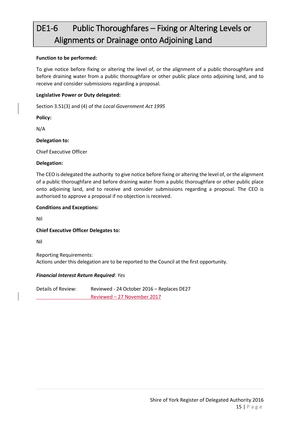## <span id="page-14-0"></span>DE1-6 Public Thoroughfares – Fixing or Altering Levels or Alignments or Drainage onto Adjoining Land

#### **Function to be performed:**

To give notice before fixing or altering the level of, or the alignment of a public thoroughfare and before draining water from a public thoroughfare or other public place onto adjoining land, and to receive and consider submissions regarding a proposal.

#### **Legislative Power or Duty delegated:**

Section 3.51(3) and (4) of the *Local Government Act 1995*

**Policy:**

N/A

**Delegation to:**

Chief Executive Officer

#### **Delegation:**

The CEO is delegated the authority to give notice before fixing or altering the level of, or the alignment of a public thoroughfare and before draining water from a public thoroughfare or other public place onto adjoining land, and to receive and consider submissions regarding a proposal. The CEO is authorised to approve a proposal if no objection is received.

#### **Conditions and Exceptions:**

Nil

#### **Chief Executive Officer Delegates to:**

Nil

Reporting Requirements: Actions under this delegation are to be reported to the Council at the first opportunity.

#### *Financial Interest Return Required: Yes*

Details of Review: Reviewed - 24 October 2016 – Replaces DE27 Reviewed – 27 November 2017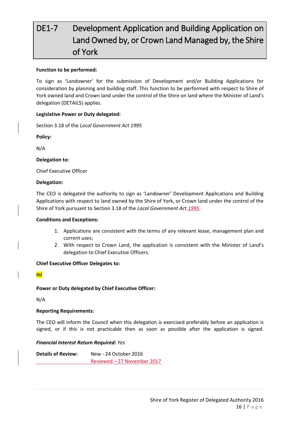# <span id="page-15-0"></span>DE1-7 Development Application and Building Application on Land Owned by, or Crown Land Managed by, the Shire of York

#### **Function to be performed:**

To sign as 'Landowner' for the submission of Development and/or Building Applications for consideration by planning and building staff. This function to be performed with respect to Shire of York owned land and Crown land under the control of the Shire on land where the Minister of Land's delegation (DETAILS) applies.

#### **Legislative Power or Duty delegated:**

Section 3.18 of the *Local Government Act 1995*

**Policy:**

N/A

#### **Delegation to:**

Chief Executive Officer

#### **Delegation:**

The CEO is delegated the authority to sign as 'Landowner' Development Applications and Building Applications with respect to land owned by the Shire of York, or Crown land under the control of the Shire of York pursuant to Section 3.18 of the *Local Government Act 1995*.

#### **Conditions and Exceptions:**

- 1. Applications are consistent with the terms of any relevant lease, management plan and current uses;
- 2. With respect to Crown Land, the application is consistent with the Minister of Land's delegation to Chief Executive Officers.

#### **Chief Executive Officer Delegates to:**

#### Nil

#### **Power or Duty delegated by Chief Executive Officer:**

N/A

#### **Reporting Requirements:**

The CEO will inform the Council when this delegation is exercised preferably before an application is signed, or if this is not practicable then as soon as possible after the application is signed.

#### *Financial Interest Return Required: Yes*

**Details of Review:** New - 24 October 2016 Reviewed – 27 November 2017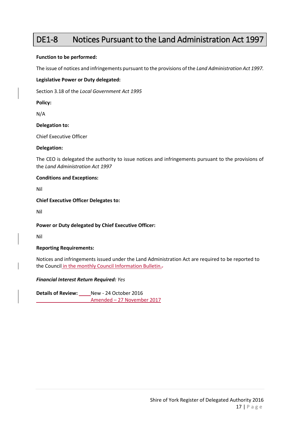### <span id="page-16-0"></span>DE1-8 Notices Pursuant to the Land Administration Act 1997

#### **Function to be performed:**

The issue of notices and infringements pursuant to the provisions of the *Land Administration Act 1997.*

#### **Legislative Power or Duty delegated:**

Section 3.18 of the *Local Government Act 1995*

**Policy:**

N/A

#### **Delegation to:**

Chief Executive Officer

#### **Delegation:**

The CEO is delegated the authority to issue notices and infringements pursuant to the provisions of the *Land Administration Act 1997*

#### **Conditions and Exceptions:**

Nil

#### **Chief Executive Officer Delegates to:**

Nil

#### **Power or Duty delegated by Chief Executive Officer:**

Nil

#### **Reporting Requirements:**

Notices and infringements issued under the Land Administration Act are required to be reported to the Council in the monthly Council Information Bulletin.-

#### *Financial Interest Return Required: Yes*

**Details of Review:** New - 24 October 2016 Amended – 27 November 2017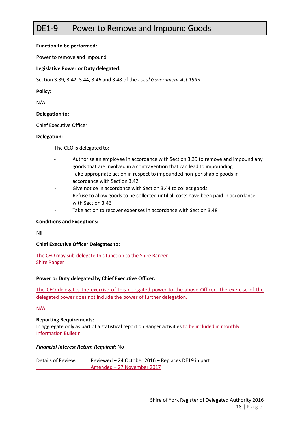### <span id="page-17-0"></span>DE1-9 Power to Remove and Impound Goods

#### **Function to be performed:**

Power to remove and impound.

#### **Legislative Power or Duty delegated:**

Section 3.39, 3.42, 3.44, 3.46 and 3.48 of the *Local Government Act 1995*

#### **Policy:**

N/A

#### **Delegation to:**

Chief Executive Officer

#### **Delegation:**

The CEO is delegated to:

- Authorise an employee in accordance with Section 3.39 to remove and impound any goods that are involved in a contravention that can lead to impounding
- Take appropriate action in respect to impounded non-perishable goods in accordance with Section 3.42
- Give notice in accordance with Section 3.44 to collect goods
- Refuse to allow goods to be collected until all costs have been paid in accordance with Section 3.46
- Take action to recover expenses in accordance with Section 3.48

#### **Conditions and Exceptions:**

Nil

#### **Chief Executive Officer Delegates to:**

The CEO may sub-delegate this function to the Shire Ranger Shire Ranger

#### **Power or Duty delegated by Chief Executive Officer:**

The CEO delegates the exercise of this delegated power to the above Officer. The exercise of the delegated power does not include the power of further delegation.

#### N/A

#### **Reporting Requirements:**

In aggregate only as part of a statistical report on Ranger activities to be included in monthly Information Bulletin

#### *Financial Interest Return Required:* No

Details of Review: Reviewed – 24 October 2016 – Replaces DE19 in part Amended – 27 November 2017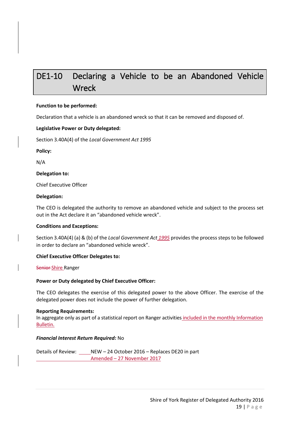### <span id="page-18-0"></span>DE1-10 Declaring a Vehicle to be an Abandoned Vehicle **Wreck**

#### **Function to be performed:**

Declaration that a vehicle is an abandoned wreck so that it can be removed and disposed of.

#### **Legislative Power or Duty delegated:**

Section 3.40A(4) of the *Local Government Act 1995*

**Policy:**

N/A

**Delegation to:**

Chief Executive Officer

#### **Delegation:**

The CEO is delegated the authority to remove an abandoned vehicle and subject to the process set out in the Act declare it an "abandoned vehicle wreck".

#### **Conditions and Exceptions:**

Section 3.40A(4) (a) & (b) of the *Local Government Act 1995* provides the process steps to be followed in order to declare an "abandoned vehicle wreck".

#### **Chief Executive Officer Delegates to:**

Senior Shire Ranger

#### **Power or Duty delegated by Chief Executive Officer:**

The CEO delegates the exercise of this delegated power to the above Officer. The exercise of the delegated power does not include the power of further delegation.

#### **Reporting Requirements:**

In aggregate only as part of a statistical report on Ranger activities included in the monthly Information Bulletin.

#### *Financial Interest Return Required:* No

Details of Review: NEW – 24 October 2016 – Replaces DE20 in part Amended – 27 November 2017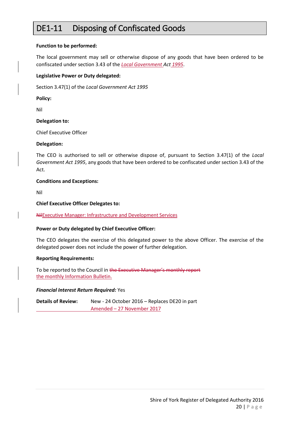### <span id="page-19-0"></span>DE1-11 Disposing of Confiscated Goods

#### **Function to be performed:**

The local government may sell or otherwise dispose of any goods that have been ordered to be confiscated under section 3.43 of the *Local Government Act 1995*.

#### **Legislative Power or Duty delegated:**

Section 3.47(1) of the *Local Government Act 1995*

**Policy:**

Nil

#### **Delegation to:**

Chief Executive Officer

#### **Delegation:**

The CEO is authorised to sell or otherwise dispose of, pursuant to Section 3.47(1) of the *Local Government Act 1995*, any goods that have been ordered to be confiscated under section 3.43 of the Act.

#### **Conditions and Exceptions:**

Nil

#### **Chief Executive Officer Delegates to:**

NilExecutive Manager: Infrastructure and Development Services

#### **Power or Duty delegated by Chief Executive Officer:**

The CEO delegates the exercise of this delegated power to the above Officer. The exercise of the delegated power does not include the power of further delegation.

#### **Reporting Requirements:**

To be reported to the Council in the Executive Manager's monthly report the monthly Information Bulletin.

#### *Financial Interest Return Required:* Yes

**Details of Review:** New - 24 October 2016 – Replaces DE20 in part Amended – 27 November 2017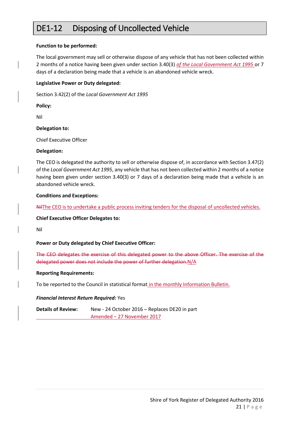### <span id="page-20-0"></span>DE1-12 Disposing of Uncollected Vehicle

#### **Function to be performed:**

The local government may sell or otherwise dispose of any vehicle that has not been collected within 2 months of a notice having been given under section 3.40(3) *of the Local Government Act 1995* or 7 days of a declaration being made that a vehicle is an abandoned vehicle wreck.

#### **Legislative Power or Duty delegated:**

Section 3.42(2) of the *Local Government Act 1995*

**Policy:**

Nil

#### **Delegation to:**

Chief Executive Officer

#### **Delegation:**

The CEO is delegated the authority to sell or otherwise dispose of, in accordance with Section 3.47(2) of the *Local Government Act 1995*, any vehicle that has not been collected within 2 months of a notice having been given under section 3.40(3) or 7 days of a declaration being made that a vehicle is an abandoned vehicle wreck.

#### **Conditions and Exceptions:**

NilThe CEO is to undertake a public process inviting tenders for the disposal of uncollected vehicles.

**Chief Executive Officer Delegates to:**

Nil

#### **Power or Duty delegated by Chief Executive Officer:**

The CEO delegates the exercise of this delegated power to the above Officer. The exercise of the delegated power does not include the power of further delegation.N/A

#### **Reporting Requirements:**

To be reported to the Council in statistical format in the monthly Information Bulletin.

#### *Financial Interest Return Required:* Yes

**Details of Review:** New - 24 October 2016 – Replaces DE20 in part Amended – 27 November 2017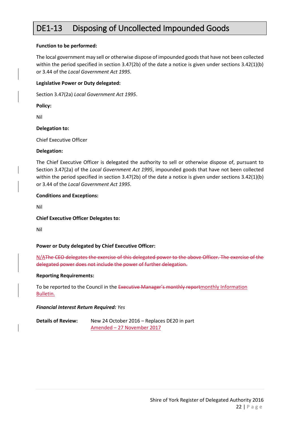### <span id="page-21-0"></span>DE1-13 Disposing of Uncollected Impounded Goods

#### **Function to be performed:**

The local government may sell or otherwise dispose of impounded goods that have not been collected within the period specified in section 3.47(2b) of the date a notice is given under sections 3.42(1)(b) or 3.44 of the *Local Government Act 1995*.

#### **Legislative Power or Duty delegated:**

Section 3.47(2a) *Local Government Act 1995*.

**Policy:**

Nil

#### **Delegation to:**

Chief Executive Officer

#### **Delegation:**

The Chief Executive Officer is delegated the authority to sell or otherwise dispose of, pursuant to Section 3.47(2a) of the *Local Government Act 1995*, impounded goods that have not been collected within the period specified in section 3.47(2b) of the date a notice is given under sections 3.42(1)(b) or 3.44 of the *Local Government Act 1995*.

#### **Conditions and Exceptions:**

Nil

**Chief Executive Officer Delegates to:**

Nil

#### **Power or Duty delegated by Chief Executive Officer:**

N/AThe CEO delegates the exercise of this delegated power to the above Officer. The exercise of the delegated power does not include the power of further delegation.

#### **Reporting Requirements:**

To be reported to the Council in the Executive Manager's monthly reportmonthly Information Bulletin.

#### *Financial Interest Return Required: Yes*

**Details of Review:** New 24 October 2016 – Replaces DE20 in part Amended – 27 November 2017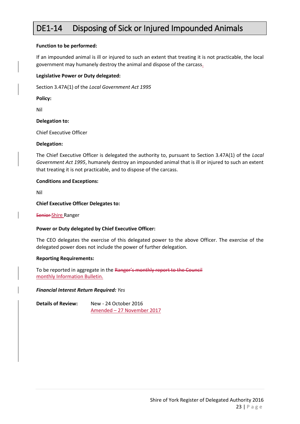### <span id="page-22-0"></span>DE1-14 Disposing of Sick or Injured Impounded Animals

#### **Function to be performed:**

If an impounded animal is ill or injured to such an extent that treating it is not practicable, the local government may humanely destroy the animal and dispose of the carcass.

#### **Legislative Power or Duty delegated:**

Section 3.47A(1) of the *Local Government Act 1995*

**Policy:**

Nil

#### **Delegation to:**

Chief Executive Officer

#### **Delegation:**

The Chief Executive Officer is delegated the authority to, pursuant to Section 3.47A(1) of the *Local Government Act 1995*, humanely destroy an impounded animal that is ill or injured to such an extent that treating it is not practicable, and to dispose of the carcass.

#### **Conditions and Exceptions:**

Nil

#### **Chief Executive Officer Delegates to:**

Senior-Shire Ranger

#### **Power or Duty delegated by Chief Executive Officer:**

The CEO delegates the exercise of this delegated power to the above Officer. The exercise of the delegated power does not include the power of further delegation.

#### **Reporting Requirements:**

To be reported in aggregate in the Ranger's monthly report to the Council monthly Information Bulletin.

#### *Financial Interest Return Required: Yes*

| <b>Details of Review:</b> | New - 24 October 2016      |
|---------------------------|----------------------------|
|                           | Amended - 27 November 2017 |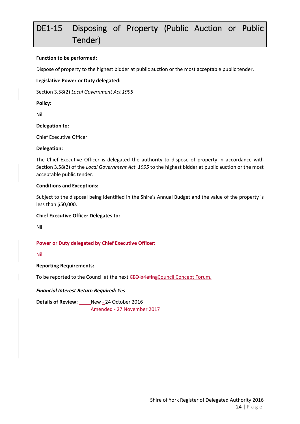# <span id="page-23-0"></span>DE1-15 Disposing of Property (Public Auction or Public Tender)

#### **Function to be performed:**

Dispose of property to the highest bidder at public auction or the most acceptable public tender.

#### **Legislative Power or Duty delegated:**

Section 3.58(2) *Local Government Act 1995*

**Policy:**

Nil

#### **Delegation to:**

Chief Executive Officer

#### **Delegation:**

The Chief Executive Officer is delegated the authority to dispose of property in accordance with Section 3.58(2) of the *Local Government Act 1995* to the highest bidder at public auction or the most acceptable public tender.

#### **Conditions and Exceptions:**

Subject to the disposal being identified in the Shire's Annual Budget and the value of the property is less than \$50,000.

#### **Chief Executive Officer Delegates to:**

Nil

#### **Power or Duty delegated by Chief Executive Officer:**

Nil

#### **Reporting Requirements:**

To be reported to the Council at the next CEO briefingCouncil Concept Forum.

#### *Financial Interest Return Required: Yes*

**Details of Review:** New - 24 October 2016 Amended - 27 November 2017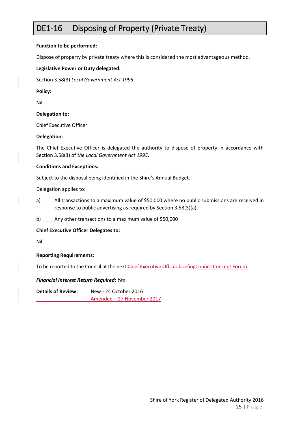### <span id="page-24-0"></span>DE1-16 Disposing of Property (Private Treaty)

#### **Function to be performed:**

Dispose of property by private treaty where this is considered the most advantageous method.

#### **Legislative Power or Duty delegated:**

Section 3.58(3) *Local Government Act 1995*

**Policy:**

Nil

#### **Delegation to:**

Chief Executive Officer

#### **Delegation:**

The Chief Executive Officer is delegated the authority to dispose of property in accordance with Section 3.58(3) of *the Local Government Act 1995*.

#### **Conditions and Exceptions:**

Subject to the disposal being identified in the Shire's Annual Budget.

Delegation applies to:

- a) \_\_\_\_\_\_\_ All transactions to a maximum value of \$50,000 where no public submissions are received in response to public advertising as required by Section 3.58(3)(a).
- b) Any other transactions to a maximum value of \$50,000

#### **Chief Executive Officer Delegates to:**

Nil

#### **Reporting Requirements:**

To be reported to the Council at the next Chief Executive Officer briefing Council Concept Forum.

#### *Financial Interest Return Required: Yes*

**Details of Review:** New - 24 October 2016 Amended – 27 November 2017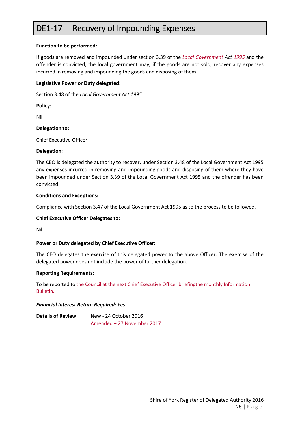### <span id="page-25-0"></span>DE1-17 Recovery of Impounding Expenses

#### **Function to be performed:**

If goods are removed and impounded under section 3.39 of the *Local Government Act 1995* and the offender is convicted, the local government may, if the goods are not sold, recover any expenses incurred in removing and impounding the goods and disposing of them.

#### **Legislative Power or Duty delegated:**

Section 3.48 of the *Local Government Act 1995*

**Policy:**

Nil

#### **Delegation to:**

Chief Executive Officer

#### **Delegation:**

The CEO is delegated the authority to recover, under Section 3.48 of the Local Government Act 1995 any expenses incurred in removing and impounding goods and disposing of them where they have been impounded under Section 3.39 of the Local Government Act 1995 and the offender has been convicted.

#### **Conditions and Exceptions:**

Compliance with Section 3.47 of the Local Government Act 1995 as to the process to be followed.

#### **Chief Executive Officer Delegates to:**

Nil

#### **Power or Duty delegated by Chief Executive Officer:**

The CEO delegates the exercise of this delegated power to the above Officer. The exercise of the delegated power does not include the power of further delegation.

#### **Reporting Requirements:**

To be reported to the Council at the next Chief Executive Officer briefingthe monthly Information Bulletin.

#### *Financial Interest Return Required: Yes*

**Details of Review:** New - 24 October 2016 Amended – 27 November 2017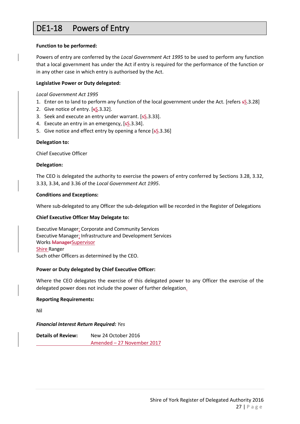### <span id="page-26-0"></span>DE1-18 Powers of Entry

#### **Function to be performed:**

Powers of entry are conferred by the *Local Government Act 1995* to be used to perform any function that a local government has under the Act if entry is required for the performance of the function or in any other case in which entry is authorised by the Act.

#### **Legislative Power or Duty delegated:**

*Local Government Act 1995* 

- 1. Enter on to land to perform any function of the local government under the Act. [refers sS.3.28]
- 2. Give notice of entry.  $[**s**8.3.32]$ .
- 3. Seek and execute an entry under warrant. [sS.3.33].
- 4. Execute an entry in an emergency, [sS.3.34].
- 5. Give notice and effect entry by opening a fence [sS.3.36]

#### **Delegation to:**

Chief Executive Officer

#### **Delegation:**

The CEO is delegated the authority to exercise the powers of entry conferred by Sections 3.28, 3.32, 3.33, 3.34, and 3.36 of the *Local Government Act 1995*.

#### **Conditions and Exceptions:**

Where sub-delegated to any Officer the sub-delegation will be recorded in the Register of Delegations

#### **Chief Executive Officer May Delegate to:**

Executive Manager: Corporate and Community Services Executive Manager: Infrastructure and Development Services Works ManagerSupervisor Shire Ranger Such other Officers as determined by the CEO.

#### **Power or Duty delegated by Chief Executive Officer:**

Where the CEO delegates the exercise of this delegated power to any Officer the exercise of the delegated power does not include the power of further delegation.

#### **Reporting Requirements:**

Nil

#### *Financial Interest Return Required: Yes*

| <b>Details of Review:</b> | New 24 October 2016        |
|---------------------------|----------------------------|
|                           | Amended - 27 November 2017 |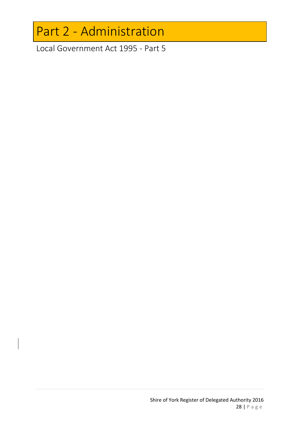# <span id="page-27-0"></span>Part 2 - Administration

<span id="page-27-1"></span>Local Government Act 1995 - Part 5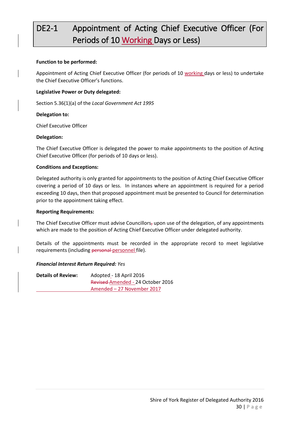# <span id="page-29-0"></span>DE2-1 Appointment of Acting Chief Executive Officer (For Periods of 10 Working Days or Less)

#### **Function to be performed:**

Appointment of Acting Chief Executive Officer (for periods of 10 working days or less) to undertake the Chief Executive Officer's functions.

#### **Legislative Power or Duty delegated:**

Section 5.36(1)(a) of the *Local Government Act 1995*

#### **Delegation to:**

Chief Executive Officer

#### **Delegation:**

The Chief Executive Officer is delegated the power to make appointments to the position of Acting Chief Executive Officer (for periods of 10 days or less).

#### **Conditions and Exceptions:**

Delegated authority is only granted for appointments to the position of Acting Chief Executive Officer covering a period of 10 days or less. In instances where an appointment is required for a period exceeding 10 days, then that proposed appointment must be presented to Council for determination prior to the appointment taking effect.

#### **Reporting Requirements:**

The Chief Executive Officer must advise Councillors, upon use of the delegation, of any appointments which are made to the position of Acting Chief Executive Officer under delegated authority.

Details of the appointments must be recorded in the appropriate record to meet legislative requirements (including personal personnel file).

#### *Financial Interest Return Required: Yes*

| <b>Details of Review:</b> | Adopted - 18 April 2016           |
|---------------------------|-----------------------------------|
|                           | Revised-Amended - 24 October 2016 |
|                           | Amended – 27 November 2017        |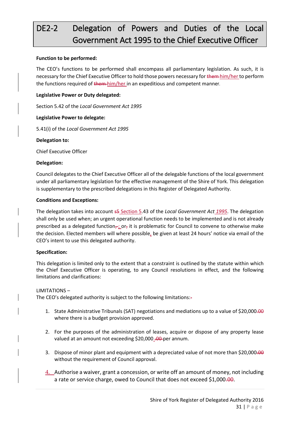# <span id="page-30-0"></span>DE2-2 Delegation of Powers and Duties of the Local Government Act 1995 to the Chief Executive Officer

#### **Function to be performed:**

The CEO's functions to be performed shall encompass all parliamentary legislation. As such, it is necessary for the Chief Executive Officer to hold those powers necessary for them him/her to perform the functions required of them him/her in an expeditious and competent manner.

#### **Legislative Power or Duty delegated:**

Section 5.42 of the *Local Government Act 1995*

#### **Legislative Power to delegate:**

5.41(i) of the *Local Government Act 1995*

#### **Delegation to:**

Chief Executive Officer

#### **Delegation:**

Council delegates to the Chief Executive Officer all of the delegable functions of the local government under all parliamentary legislation for the effective management of the Shire of York. This delegation is supplementary to the prescribed delegations in this Register of Delegated Authority.

#### **Conditions and Exceptions:**

The delegation takes into account s5 Section 5.43 of the *Local Government Act 1995*. The delegation shall only be used when; an urgent operational function needs to be implemented and is not already prescribed as a delegated function<sub> $\tau$ </sub>; or, it is problematic for Council to convene to otherwise make the decision. Elected members will where possible, be given at least 24 hours' notice via email of the CEO's intent to use this delegated authority.

#### **Specification:**

This delegation is limited only to the extent that a constraint is outlined by the statute within which the Chief Executive Officer is operating, to any Council resolutions in effect, and the following limitations and clarifications:

#### LIMITATIONS –

The CEO's delegated authority is subject to the following limitations:-

- 1. State Administrative Tribunals (SAT) negotiations and mediations up to a value of \$20,000.00 where there is a budget provision approved.
- 2. For the purposes of the administration of leases, acquire or dispose of any property lease valued at an amount not exceeding \$20,000 .00 per annum.
- 3. Dispose of minor plant and equipment with a depreciated value of not more than \$20,000.00 without the requirement of Council approval.
- 4. Authorise a waiver, grant a concession, or write off an amount of money, not including a rate or service charge, owed to Council that does not exceed \$1,000.00.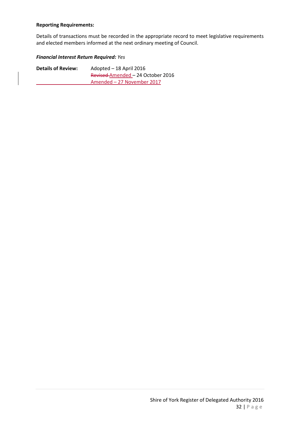#### **Reporting Requirements:**

Details of transactions must be recorded in the appropriate record to meet legislative requirements and elected members informed at the next ordinary meeting of Council.

#### *Financial Interest Return Required: Yes*

| <b>Details of Review:</b> | Adopted – 18 April 2016           |
|---------------------------|-----------------------------------|
|                           | Revised-Amended - 24 October 2016 |
|                           | Amended – 27 November 2017        |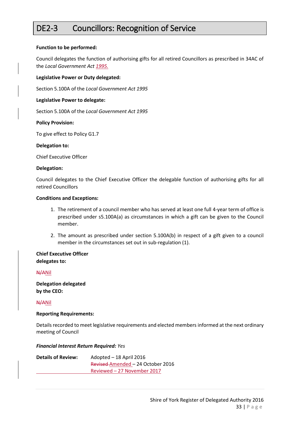### <span id="page-32-0"></span>DE2-3 Councillors: Recognition of Service

#### **Function to be performed:**

Council delegates the function of authorising gifts for all retired Councillors as prescribed in 34AC of the *Local Government Act 1995.*

#### **Legislative Power or Duty delegated:**

Section 5.100A of the *Local Government Act 1995*

#### **Legislative Power to delegate:**

Section 5.100A of the *Local Government Act 1995*

#### **Policy Provision:**

To give effect to Policy G1.7

#### **Delegation to:**

Chief Executive Officer

#### **Delegation:**

Council delegates to the Chief Executive Officer the delegable function of authorising gifts for all retired Councillors

#### **Conditions and Exceptions:**

- 1. The retirement of a council member who has served at least one full 4-year term of office is prescribed under s5.100A(a) as circumstances in which a gift can be given to the Council member.
- 2. The amount as prescribed under section 5.100A(b) in respect of a gift given to a council member in the circumstances set out in sub-regulation (1).

#### **Chief Executive Officer delegates to:**

#### N/ANil

**Delegation delegated by the CEO:**

#### N/ANil

#### **Reporting Requirements:**

Details recorded to meet legislative requirements and elected members informed at the next ordinary meeting of Council

#### *Financial Interest Return Required: Yes*

| <b>Details of Review:</b> | Adopted - 18 April 2016           |
|---------------------------|-----------------------------------|
|                           | Revised Amended - 24 October 2016 |
|                           | Reviewed – 27 November 2017       |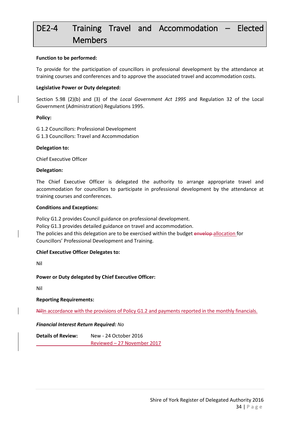# <span id="page-33-0"></span>DE2-4 Training Travel and Accommodation – Elected Members

#### **Function to be performed:**

To provide for the participation of councillors in professional development by the attendance at training courses and conferences and to approve the associated travel and accommodation costs.

#### **Legislative Power or Duty delegated:**

Section 5.98 (2)(b) and (3) of the *Local Government Act 1995* and Regulation 32 of the Local Government (Administration) Regulations 1995.

#### **Policy:**

G 1.2 Councillors: Professional Development G 1.3 Councillors: Travel and Accommodation

#### **Delegation to:**

Chief Executive Officer

#### **Delegation:**

The Chief Executive Officer is delegated the authority to arrange appropriate travel and accommodation for councillors to participate in professional development by the attendance at training courses and conferences.

#### **Conditions and Exceptions:**

Policy G1.2 provides Council guidance on professional development. Policy G1.3 provides detailed guidance on travel and accommodation. The policies and this delegation are to be exercised within the budget envelop-allocation for Councillors' Professional Development and Training.

#### **Chief Executive Officer Delegates to:**

Nil

#### **Power or Duty delegated by Chief Executive Officer:**

Nil

#### **Reporting Requirements:**

Nilln accordance with the provisions of Policy G1.2 and payments reported in the monthly financials.

#### *Financial Interest Return Required: No*

**Details of Review:** New - 24 October 2016 Reviewed – 27 November 2017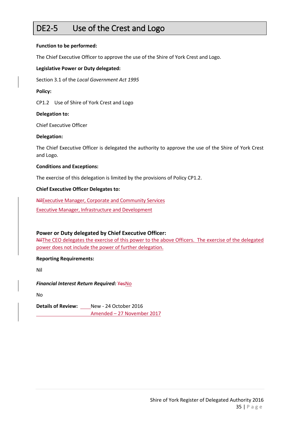### <span id="page-34-0"></span>DE2-5 Use of the Crest and Logo

#### **Function to be performed:**

The Chief Executive Officer to approve the use of the Shire of York Crest and Logo.

#### **Legislative Power or Duty delegated:**

Section 3.1 of the *Local Government Act 1995*

#### **Policy:**

CP1.2 Use of Shire of York Crest and Logo

#### **Delegation to:**

Chief Executive Officer

#### **Delegation:**

The Chief Executive Officer is delegated the authority to approve the use of the Shire of York Crest and Logo.

#### **Conditions and Exceptions:**

The exercise of this delegation is limited by the provisions of Policy CP1.2.

#### **Chief Executive Officer Delegates to:**

NilExecutive Manager, Corporate and Community Services Executive Manager, Infrastructure and Development

#### **Power or Duty delegated by Chief Executive Officer:**

NilThe CEO delegates the exercise of this power to the above Officers. The exercise of the delegated power does not include the power of further delegation.

**Reporting Requirements:**

Nil

*Financial Interest Return Required:* YesNo

No

**Details of Review:** New - 24 October 2016 Amended – 27 November 2017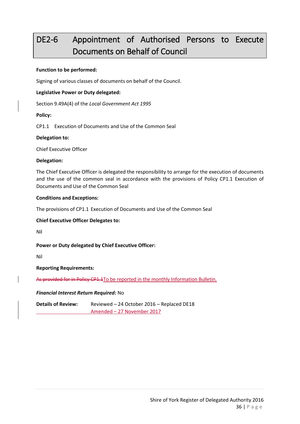## <span id="page-35-0"></span>DE2-6 Appointment of Authorised Persons to Execute Documents on Behalf of Council

#### **Function to be performed:**

Signing of various classes of documents on behalf of the Council.

#### **Legislative Power or Duty delegated:**

Section 9.49A(4) of the *Local Government Act 1995*

#### **Policy:**

CP1.1 Execution of Documents and Use of the Common Seal

#### **Delegation to:**

Chief Executive Officer

#### **Delegation:**

The Chief Executive Officer is delegated the responsibility to arrange for the execution of documents and the use of the common seal in accordance with the provisions of Policy CP1.1 Execution of Documents and Use of the Common Seal

#### **Conditions and Exceptions:**

The provisions of CP1.1 Execution of Documents and Use of the Common Seal

#### **Chief Executive Officer Delegates to:**

Nil

#### **Power or Duty delegated by Chief Executive Officer:**

Nil

#### **Reporting Requirements:**

As provided for in Policy CP1.1To be reported in the monthly Information Bulletin.

#### *Financial Interest Return Required:* No

**Details of Review:** Reviewed – 24 October 2016 – Replaced DE18 Amended – 27 November 2017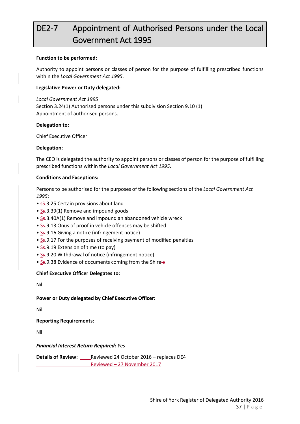# DE2-7 Appointment of Authorised Persons under the Local Government Act 1995

#### **Function to be performed:**

Authority to appoint persons or classes of person for the purpose of fulfilling prescribed functions within the *Local Government Act 1995*.

#### **Legislative Power or Duty delegated:**

*Local Government Act 1995* Section 3.24(1) Authorised persons under this subdivision Section 9.10 (1) Appointment of authorised persons.

#### **Delegation to:**

Chief Executive Officer

#### **Delegation:**

The CEO is delegated the authority to appoint persons or classes of person for the purpose of fulfilling prescribed functions within the *Local Government Act 1995*.

#### **Conditions and Exceptions:**

Persons to be authorised for the purposes of the following sections of the *Local Government Act 1995*:

- sS.3.25 Certain provisions about land
- S<sub>5</sub>.3.39(1) Remove and impound goods
- S<sub>5</sub>.3.40A(1) Remove and impound an abandoned vehicle wreck
- Ss.9.13 Onus of proof in vehicle offences may be shifted
- S<sub>5</sub>.9.16 Giving a notice (infringement notice)
- S<sub>5</sub>.9.17 For the purposes of receiving payment of modified penalties
- Ss.9.19 Extension of time (to pay)
- Ss.9.20 Withdrawal of notice (infringement notice)
- Ss.9.38 Evidence of documents coming from the Shire's

#### **Chief Executive Officer Delegates to:**

Nil

#### **Power or Duty delegated by Chief Executive Officer:**

Nil

**Reporting Requirements:**

Nil

#### *Financial Interest Return Required: Yes*

**Details of Review:** Reviewed 24 October 2016 – replaces DE4 Reviewed – 27 November 2017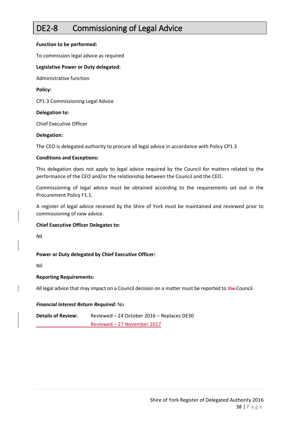### DE2-8 Commissioning of Legal Advice

#### **Function to be performed:**

To commission legal advice as required

#### **Legislative Power or Duty delegated:**

Administrative function

**Policy:**

CP1.3 Commissioning Legal Advice

#### **Delegation to:**

Chief Executive Officer

#### **Delegation:**

The CEO is delegated authority to procure all legal advice in accordance with Policy CP1.3

#### **Conditions and Exceptions:**

This delegation does not apply to legal advice required by the Council for matters related to the performance of the CEO and/or the relationship between the Council and the CEO.

Commissioning of legal advice must be obtained according to the requirements set out in the Procurement Policy F1.1.

A register of legal advice received by the Shire of York must be maintained and reviewed prior to commissioning of new advice.

#### **Chief Executive Officer Delegates to:**

Nil

#### **Power or Duty delegated by Chief Executive Officer:**

Nil

#### **Reporting Requirements:**

All legal advice that may impact on a Council decision on a matter must be reported to the Council.

#### *Financial Interest Return Required:* No

**Details of Review:** Reviewed – 24 October 2016 – Replaces DE30 Reviewed – 27 November 2017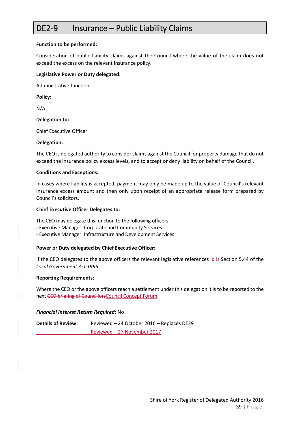### DE2-9 Insurance – Public Liability Claims

#### **Function to be performed:**

Consideration of public liability claims against the Council where the value of the claim does not exceed the excess on the relevant insurance policy.

#### **Legislative Power or Duty delegated:**

Administrative function

**Policy:**

N/A

#### **Delegation to:**

Chief Executive Officer

#### **Delegation:**

The CEO is delegated authority to consider claims against the Council for property damage that do not exceed the insurance policy excess levels, and to accept or deny liability on behalf of the Council.

#### **Conditions and Exceptions:**

In cases where liability is accepted, payment may only be made up to the value of Council's relevant insurance excess amount and then only upon receipt of an appropriate release form prepared by Council's solicitors.

#### **Chief Executive Officer Delegates to:**

The CEO may delegate this function to the following officers: -Executive Manager: Corporate and Community Services -Executive Manager: Infrastructure and Development Services

#### **Power or Duty delegated by Chief Executive Officer:**

If the CEO delegates to the above officers the relevant legislative references  $id$ -is Section 5.44 of the *Local Government Act 1995*

#### **Reporting Requirements:**

Where the CEO or the above officers reach a settlement under this delegation it is to be reported to the next CEO briefing of CouncillorsCouncil Concept Forum.

#### *Financial Interest Return Required:* No

**Details of Review:** Reviewed – 24 October 2016 – Replaces DE29 Reviewed – 27 November 2017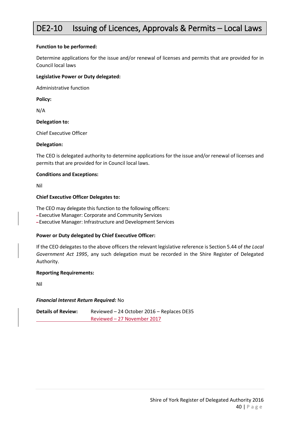### DE2-10 Issuing of Licences, Approvals & Permits - Local Laws

#### **Function to be performed:**

Determine applications for the issue and/or renewal of licenses and permits that are provided for in Council local laws

#### **Legislative Power or Duty delegated:**

Administrative function

**Policy:**

N/A

#### **Delegation to:**

Chief Executive Officer

#### **Delegation:**

The CEO is delegated authority to determine applications for the issue and/or renewal of licenses and permits that are provided for in Council local laws.

#### **Conditions and Exceptions:**

Nil

#### **Chief Executive Officer Delegates to:**

The CEO may delegate this function to the following officers:

-Executive Manager: Corporate and Community Services

-Executive Manager: Infrastructure and Development Services

#### **Power or Duty delegated by Chief Executive Officer:**

If the CEO delegates to the above officers the relevant legislative reference is Section 5.44 of *the Local Government Act 1995*, any such delegation must be recorded in the Shire Register of Delegated Authority.

#### **Reporting Requirements:**

Nil

#### *Financial Interest Return Required:* No

**Details of Review:** Reviewed – 24 October 2016 – Replaces DE35 Reviewed – 27 November 2017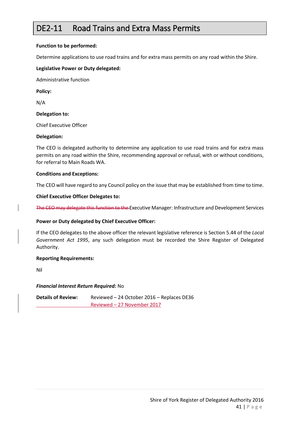### DE2-11 Road Trains and Extra Mass Permits

#### **Function to be performed:**

Determine applications to use road trains and for extra mass permits on any road within the Shire.

#### **Legislative Power or Duty delegated:**

Administrative function

**Policy:**

N/A

**Delegation to:**

Chief Executive Officer

#### **Delegation:**

The CEO is delegated authority to determine any application to use road trains and for extra mass permits on any road within the Shire, recommending approval or refusal, with or without conditions, for referral to Main Roads WA.

#### **Conditions and Exceptions:**

The CEO will have regard to any Council policy on the issue that may be established from time to time.

#### **Chief Executive Officer Delegates to:**

The CEO may delegate this function to the Executive Manager: Infrastructure and Development Services

#### **Power or Duty delegated by Chief Executive Officer:**

If the CEO delegates to the above officer the relevant legislative reference is Section 5.44 of the *Local Government Act 1995*, any such delegation must be recorded the Shire Register of Delegated Authority.

#### **Reporting Requirements:**

Nil

#### *Financial Interest Return Required:* No

**Details of Review:** Reviewed – 24 October 2016 – Replaces DE36 Reviewed – 27 November 2017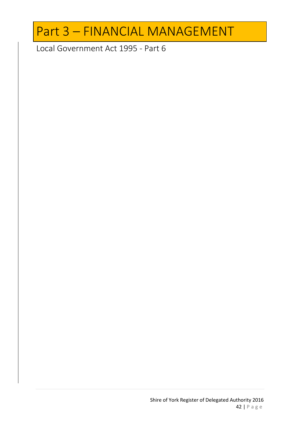# Part 3 – FINANCIAL MANAGEMENT

Local Government Act 1995 - Part 6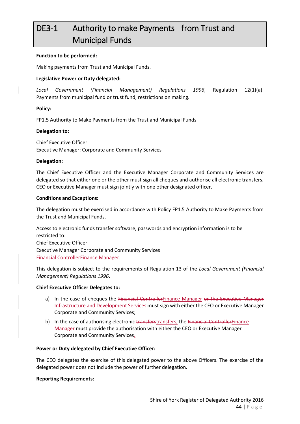# DE3-1 Authority to make Payments from Trust and Municipal Funds

#### **Function to be performed:**

Making payments from Trust and Municipal Funds.

#### **Legislative Power or Duty delegated:**

*Local Government (Financial Management) Regulations 1996*, Regulation 12(1)(a). Payments from municipal fund or trust fund, restrictions on making.

#### **Policy:**

FP1.5 Authority to Make Payments from the Trust and Municipal Funds

#### **Delegation to:**

Chief Executive Officer Executive Manager: Corporate and Community Services

#### **Delegation:**

The Chief Executive Officer and the Executive Manager Corporate and Community Services are delegated so that either one or the other must sign all cheques and authorise all electronic transfers. CEO or Executive Manager must sign jointly with one other designated officer.

#### **Conditions and Exceptions:**

The delegation must be exercised in accordance with Policy FP1.5 Authority to Make Payments from the Trust and Municipal Funds.

Access to electronic funds transfer software, passwords and encryption information is to be restricted to: Chief Executive Officer Executive Manager Corporate and Community Services Financial ControllerFinance Manager.

This delegation is subject to the requirements of Regulation 13 of the *Local Government (Financial Management) Regulations 1996*.

#### **Chief Executive Officer Delegates to:**

- a) In the case of cheques the Financial ControllerFinance Manager or the Executive Manager Infrastructure and Development Services must sign with either the CEO or Executive Manager Corporate and Community Services;
- b) In the case of authorising electronic transferstransfers, the Financial ControllerFinance Manager must provide the authorisation with either the CEO or Executive Manager Corporate and Community Services.

#### **Power or Duty delegated by Chief Executive Officer:**

The CEO delegates the exercise of this delegated power to the above Officers. The exercise of the delegated power does not include the power of further delegation.

#### **Reporting Requirements:**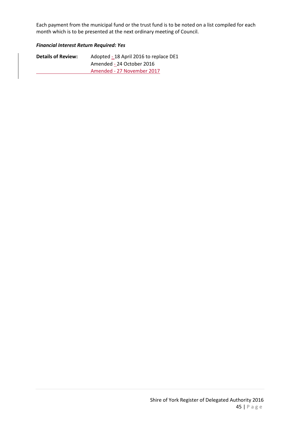Each payment from the municipal fund or the trust fund is to be noted on a list compiled for each month which is to be presented at the next ordinary meeting of Council.

#### *Financial Interest Return Required: Yes*

| <b>Details of Review:</b> | Adopted - 18 April 2016 to replace DE1 |
|---------------------------|----------------------------------------|
|                           | Amended - 24 October 2016              |
|                           | Amended - 27 November 2017             |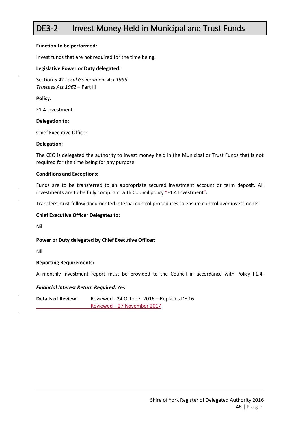### DE3-2 Invest Money Held in Municipal and Trust Funds

#### **Function to be performed:**

Invest funds that are not required for the time being.

#### **Legislative Power or Duty delegated:**

Section 5.42 *Local Government Act 1995 Trustees Act 1962* – Part III

**Policy:**

F1.4 Investment

#### **Delegation to:**

Chief Executive Officer

#### **Delegation:**

The CEO is delegated the authority to invest money held in the Municipal or Trust Funds that is not required for the time being for any purpose.

#### **Conditions and Exceptions:**

Funds are to be transferred to an appropriate secured investment account or term deposit. All investments are to be fully compliant with Council policy "F1.4 Investment".

Transfers must follow documented internal control procedures to ensure control over investments.

#### **Chief Executive Officer Delegates to:**

Nil

#### **Power or Duty delegated by Chief Executive Officer:**

Nil

#### **Reporting Requirements:**

A monthly investment report must be provided to the Council in accordance with Policy F1.4.

#### *Financial Interest Return Required:* Yes

**Details of Review:** Reviewed - 24 October 2016 – Replaces DE 16 Reviewed – 27 November 2017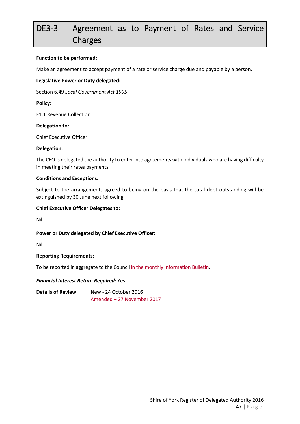# DE3-3 Agreement as to Payment of Rates and Service Charges

#### **Function to be performed:**

Make an agreement to accept payment of a rate or service charge due and payable by a person.

#### **Legislative Power or Duty delegated:**

Section 6.49 *Local Government Act 1995*

**Policy:**

F1.1 Revenue Collection

#### **Delegation to:**

Chief Executive Officer

#### **Delegation:**

The CEO is delegated the authority to enter into agreements with individuals who are having difficulty in meeting their rates payments.

#### **Conditions and Exceptions:**

Subject to the arrangements agreed to being on the basis that the total debt outstanding will be extinguished by 30 June next following.

#### **Chief Executive Officer Delegates to:**

Nil

#### **Power or Duty delegated by Chief Executive Officer:**

Nil

#### **Reporting Requirements:**

To be reported in aggregate to the Council in the monthly Information Bulletin.

#### *Financial Interest Return Required:* Yes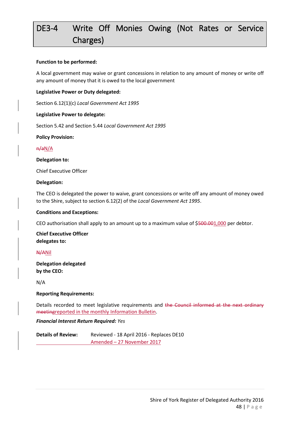# DE3-4 Write Off Monies Owing (Not Rates or Service Charges)

#### **Function to be performed:**

A local government may waive or grant concessions in relation to any amount of money or write off any amount of money that it is owed to the local government

#### **Legislative Power or Duty delegated:**

Section 6.12(1)(c) *Local Government Act 1995*

#### **Legislative Power to delegate:**

Section 5.42 and Section 5.44 *Local Government Act 1995*

**Policy Provision:** 

#### n/aN/A

#### **Delegation to:**

Chief Executive Officer

#### **Delegation:**

The CEO is delegated the power to waive, grant concessions or write off any amount of money owed to the Shire, subject to section 6.12(2) of the *Local Government Act 1995*.

#### **Conditions and Exceptions:**

CEO authorisation shall apply to an amount up to a maximum value of \$500.001,000 per debtor.

**Chief Executive Officer delegates to:**

#### N/ANil

**Delegation delegated by the CEO:**

N/A

#### **Reporting Requirements:**

Details recorded to meet legislative requirements and the Council informed at the next ordinary meetingreported in the monthly Information Bulletin.

#### *Financial Interest Return Required: Yes*

**Details of Review:** Reviewed - 18 April 2016 - Replaces DE10 Amended – 27 November 2017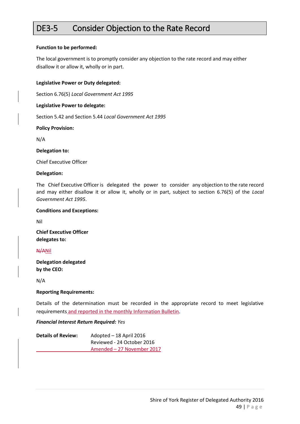### DE3-5 Consider Objection to the Rate Record

#### **Function to be performed:**

The local government is to promptly consider any objection to the rate record and may either disallow it or allow it, wholly or in part.

#### **Legislative Power or Duty delegated:**

Section 6.76(5) *Local Government Act 1995*

#### **Legislative Power to delegate:**

Section 5.42 and Section 5.44 *Local Government Act 1995*

**Policy Provision:** 

N/A

**Delegation to:**

Chief Executive Officer

#### **Delegation:**

The Chief Executive Officer is delegated the power to consider any objection to the rate record and may either disallow it or allow it, wholly or in part, subject to section 6.76(5) of the *Local Government Act 1995*.

#### **Conditions and Exceptions:**

Nil

**Chief Executive Officer delegates to:**

#### N/ANil

**Delegation delegated by the CEO:**

N/A

#### **Reporting Requirements:**

Details of the determination must be recorded in the appropriate record to meet legislative requirements and reported in the monthly Information Bulletin.

#### *Financial Interest Return Required: Yes*

| <b>Details of Review:</b> | Adopted - 18 April 2016    |
|---------------------------|----------------------------|
|                           | Reviewed - 24 October 2016 |
|                           | Amended - 27 November 2017 |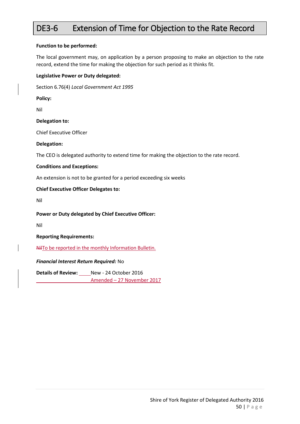### DE3-6 Extension of Time for Objection to the Rate Record

#### **Function to be performed:**

The local government may, on application by a person proposing to make an objection to the rate record, extend the time for making the objection for such period as it thinks fit.

#### **Legislative Power or Duty delegated:**

Section 6.76(4) *Local Government Act 1995*

**Policy:**

Nil

#### **Delegation to:**

Chief Executive Officer

#### **Delegation:**

The CEO is delegated authority to extend time for making the objection to the rate record.

#### **Conditions and Exceptions:**

An extension is not to be granted for a period exceeding six weeks

#### **Chief Executive Officer Delegates to:**

Nil

#### **Power or Duty delegated by Chief Executive Officer:**

Nil

#### **Reporting Requirements:**

NilTo be reported in the monthly Information Bulletin.

#### *Financial Interest Return Required:* No

**Details of Review:** New - 24 October 2016

Amended – 27 November 2017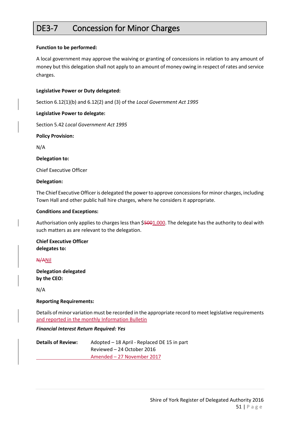### DE3-7 Concession for Minor Charges

#### **Function to be performed:**

A local government may approve the waiving or granting of concessions in relation to any amount of money but this delegation shall not apply to an amount of money owing in respect of rates and service charges.

#### **Legislative Power or Duty delegated:**

Section 6.12(1)(b) and 6.12(2) and (3) of the *Local Government Act 1995*

#### **Legislative Power to delegate:**

Section 5.42 *Local Government Act 1995*

**Policy Provision:** 

N/A

**Delegation to:**

Chief Executive Officer

#### **Delegation:**

The Chief Executive Officer is delegated the power to approve concessions for minor charges, including Town Hall and other public hall hire charges, where he considers it appropriate.

#### **Conditions and Exceptions:**

Authorisation only applies to charges less than \$5001,000. The delegate has the authority to deal with such matters as are relevant to the delegation.

**Chief Executive Officer delegates to:**

#### N/ANil

**Delegation delegated by the CEO:**

N/A

#### **Reporting Requirements:**

Details of minor variation must be recorded in the appropriate record to meet legislative requirements and reported in the monthly Information Bulletin

#### *Financial Interest Return Required: Yes*

| <b>Details of Review:</b> | Adopted – 18 April - Replaced DE 15 in part |
|---------------------------|---------------------------------------------|
|                           | Reviewed - 24 October 2016                  |
|                           | Amended – 27 November 2017                  |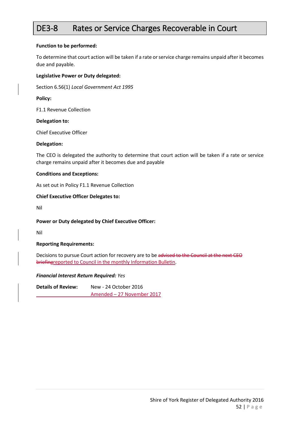### DE3-8 Rates or Service Charges Recoverable in Court

#### **Function to be performed:**

To determine that court action will be taken if a rate or service charge remains unpaid after it becomes due and payable.

#### **Legislative Power or Duty delegated:**

Section 6.56(1) *Local Government Act 1995*

#### **Policy:**

F1.1 Revenue Collection

#### **Delegation to:**

Chief Executive Officer

#### **Delegation:**

The CEO is delegated the authority to determine that court action will be taken if a rate or service charge remains unpaid after it becomes due and payable

#### **Conditions and Exceptions:**

As set out in Policy F1.1 Revenue Collection

#### **Chief Executive Officer Delegates to:**

Nil

#### **Power or Duty delegated by Chief Executive Officer:**

Nil

#### **Reporting Requirements:**

Decisions to pursue Court action for recovery are to be advised to the Council at the next CEO briefingreported to Council in the monthly Information Bulletin.

#### *Financial Interest Return Required: Yes*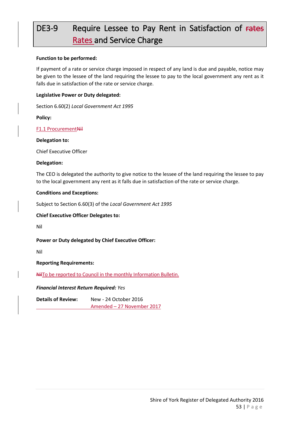# DE3-9 Require Lessee to Pay Rent in Satisfaction of rates Rates and Service Charge

#### **Function to be performed:**

If payment of a rate or service charge imposed in respect of any land is due and payable, notice may be given to the lessee of the land requiring the lessee to pay to the local government any rent as it falls due in satisfaction of the rate or service charge.

#### **Legislative Power or Duty delegated:**

Section 6.60(2) *Local Government Act 1995*

**Policy:**

#### F1.1 ProcurementNil

**Delegation to:**

Chief Executive Officer

#### **Delegation:**

The CEO is delegated the authority to give notice to the lessee of the land requiring the lessee to pay to the local government any rent as it falls due in satisfaction of the rate or service charge.

#### **Conditions and Exceptions:**

Subject to Section 6.60(3) of the *Local Government Act 1995*

#### **Chief Executive Officer Delegates to:**

Nil

**Power or Duty delegated by Chief Executive Officer:**

Nil

**Reporting Requirements:**

NilTo be reported to Council in the monthly Information Bulletin.

*Financial Interest Return Required: Yes*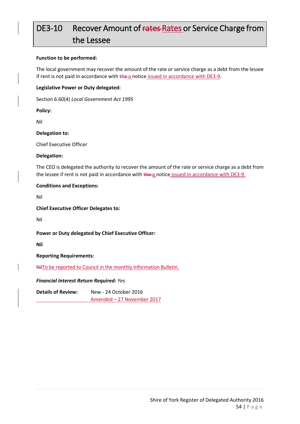## DE3-10 Recover Amount of rates-Rates or Service Charge from the Lessee

#### **Function to be performed:**

The local government may recover the amount of the rate or service charge as a debt from the lessee if rent is not paid in accordance with the a notice issued in accordance with DE3-9.

#### **Legislative Power or Duty delegated:**

Section 6.60(4) *Local Government Act 1995*

**Policy:**

Nil

**Delegation to:**

Chief Executive Officer

#### **Delegation:**

The CEO is delegated the authority to recover the amount of the rate or service charge as a debt from the lessee if rent is not paid in accordance with the a notice issued in accordance with DE3-9.

#### **Conditions and Exceptions:**

Nil

**Chief Executive Officer Delegates to:**

Nil

#### **Power or Duty delegated by Chief Executive Officer:**

**Nil**

**Reporting Requirements:**

NilTo be reported to Council in the monthly Information Bulletin.

#### *Financial Interest Return Required: Yes*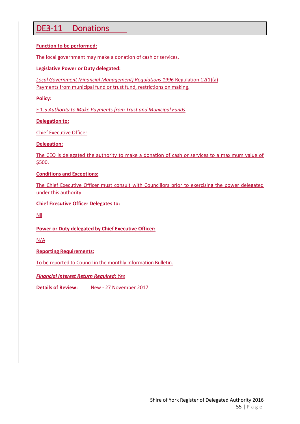### DE3-11 Donations

#### **Function to be performed:**

The local government may make a donation of cash or services.

#### **Legislative Power or Duty delegated:**

*Local Government (Financial Management) Regulations 1996* Regulation 12(1)(a) Payments from municipal fund or trust fund, restrictions on making.

**Policy:**

F 1.5 *Authority to Make Payments from Trust and Municipal Funds*

#### **Delegation to:**

Chief Executive Officer

#### **Delegation:**

The CEO is delegated the authority to make a donation of cash or services to a maximum value of \$500.

#### **Conditions and Exceptions:**

The Chief Executive Officer must consult with Councillors prior to exercising the power delegated under this authority.

#### **Chief Executive Officer Delegates to:**

Nil

#### **Power or Duty delegated by Chief Executive Officer:**

N/A

**Reporting Requirements:**

To be reported to Council in the monthly Information Bulletin.

#### *Financial Interest Return Required: Yes*

**Details of Review:** New - 27 November 2017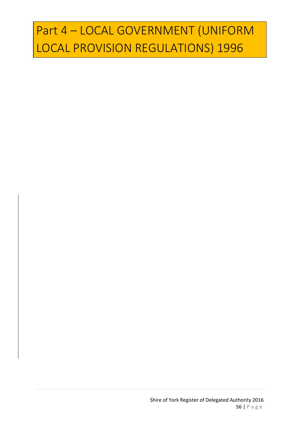# Part 4 – LOCAL GOVERNMENT (UNIFORM LOCAL PROVISION REGULATIONS) 1996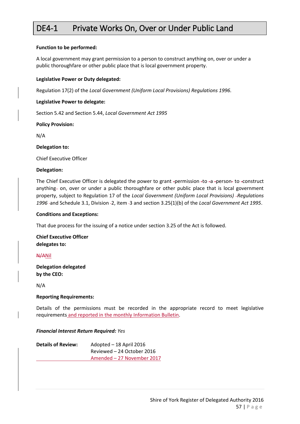### DE4-1 Private Works On, Over or Under Public Land

#### **Function to be performed:**

A local government may grant permission to a person to construct anything on, over or under a public thoroughfare or other public place that is local government property.

#### **Legislative Power or Duty delegated:**

Regulation 17(2) of the *Local Government (Uniform Local Provisions) Regulations 1996.*

#### **Legislative Power to delegate:**

Section 5.42 and Section 5.44, *Local Government Act 1995*

#### **Policy Provision:**

N/A

**Delegation to:**

Chief Executive Officer

#### **Delegation:**

The Chief Executive Officer is delegated the power to grant -permission -to -a -person- to -construct anything- on, over or under a public thoroughfare or other public place that is local government property, subject to Regulation 17 of the *Local Government (Uniform Local Provisions) Regulations*  1996 -and Schedule 3.1, Division -2, item -3 and section 3.25(1)(b) of the *Local Government Act 1995*.

#### **Conditions and Exceptions:**

That due process for the issuing of a notice under section 3.25 of the Act is followed.

**Chief Executive Officer delegates to:**

#### N/ANil

**Delegation delegated by the CEO:**

N/A

#### **Reporting Requirements:**

Details of the permissions must be recorded in the appropriate record to meet legislative requirements and reported in the monthly Information Bulletin.

#### *Financial Interest Return Required: Yes*

| <b>Details of Review:</b> | Adopted - 18 April 2016    |
|---------------------------|----------------------------|
|                           | Reviewed – 24 October 2016 |
|                           | Amended - 27 November 2017 |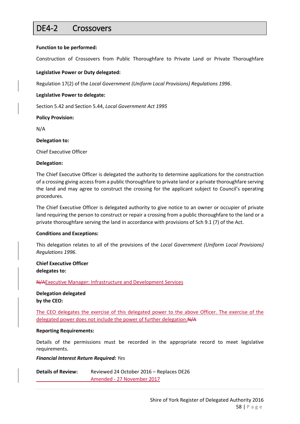### DE4-2 Crossovers

#### **Function to be performed:**

Construction of Crossovers from Public Thoroughfare to Private Land or Private Thoroughfare

#### **Legislative Power or Duty delegated:**

Regulation 17(2) of the *Local Government (Uniform Local Provisions) Regulations 1996*.

#### **Legislative Power to delegate:**

Section 5.42 and Section 5.44, *Local Government Act 1995*

#### **Policy Provision:**

N/A

#### **Delegation to:**

Chief Executive Officer

#### **Delegation:**

The Chief Executive Officer is delegated the authority to determine applications for the construction of a crossing giving access from a public thoroughfare to private land or a private thoroughfare serving the land and may agree to construct the crossing for the applicant subject to Council's operating procedures.

The Chief Executive Officer is delegated authority to give notice to an owner or occupier of private land requiring the person to construct or repair a crossing from a public thoroughfare to the land or a private thoroughfare serving the land in accordance with provisions of Sch 9.1 (7) of the Act.

#### **Conditions and Exceptions:**

This delegation relates to all of the provisions of the *Local Government (Uniform Local Provisions) Regulations 1996*.

#### **Chief Executive Officer delegates to:**

N/AExecutive Manager: Infrastructure and Development Services

**Delegation delegated by the CEO:**

The CEO delegates the exercise of this delegated power to the above Officer. The exercise of the delegated power does not include the power of further delegation. N/A

#### **Reporting Requirements:**

Details of the permissions must be recorded in the appropriate record to meet legislative requirements.

#### *Financial Interest Return Required: Yes*

**Details of Review:** Reviewed 24 October 2016 – Replaces DE26 Amended - 27 November 2017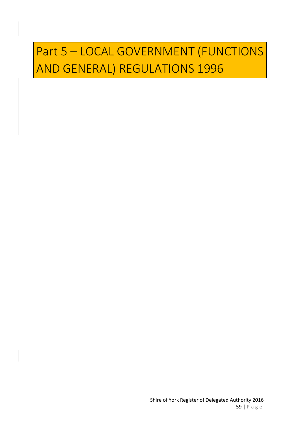# Part 5 – LOCAL GOVERNMENT (FUNCTIONS AND GENERAL) REGULATIONS 1996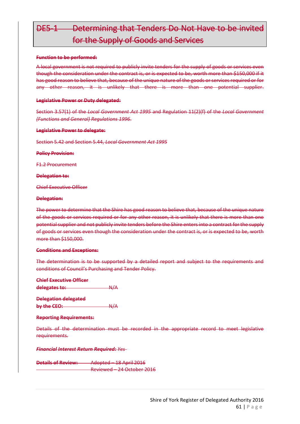## DE5-1 Determining that Tenders Do Not Have to be invited for the Supply of Goods and Services

#### **Function to be performed:**

A local government is not required to publicly invite tenders for the supply of goods or services even though the consideration under the contract is, or is expected to be, worth more than \$150,000 if it has good reason to believe that, because of the unique nature of the goods or services required or for any other reason, it is unlikely that there is more than one potential supplier.

#### **Legislative Power or Duty delegated:**

Section 3.57(1) of the *Local Government Act 1995* and Regulation 11(2)(f) of the *Local Government (Functions and General) Regulations 1996*.

#### **Legislative Power to delegate:**

Section 5.42 and Section 5.44, *Local Government Act 1995*

**Policy Provision:** 

F1.2 Procurement

**Delegation to:**

Chief Executive Officer

#### **Delegation:**

The power to determine that the Shire has good reason to believe that, because of the unique nature of the goods or services required or for any other reason, it is unlikely that there is more than one potential supplier and not publicly invite tenders before the Shire enters into a contract for the supply of goods or services even though the consideration under the contract is, or is expected to be, worth more than \$150,000.

#### **Conditions and Exceptions:**

The determination is to be supported by a detailed report and subject to the requirements and conditions of Council's Purchasing and Tender Policy.

| <b>Chief Executive Officer</b> |                  |
|--------------------------------|------------------|
| delegates to:                  | $A+A$            |
|                                |                  |
| <b>Delegation delegated</b>    |                  |
| by the CEO:                    | $A\rightarrow A$ |
|                                |                  |

| <u> Ranorting Raquiramantes</u> |
|---------------------------------|
| noporting noque omorror         |

Details of the determination must be recorded in the appropriate record to meet legislative requirements.

*Financial Interest Return Required: Yes*

**Details of Review:** Adopted – 18 April 2016 Reviewed – 24 October 2016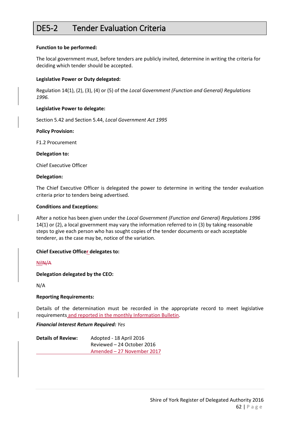### DE5-2 Tender Evaluation Criteria

#### **Function to be performed:**

The local government must, before tenders are publicly invited, determine in writing the criteria for deciding which tender should be accepted.

#### **Legislative Power or Duty delegated:**

Regulation 14(1), (2), (3), (4) or (5) of the *Local Government (Function and General) Regulations 1996.*

#### **Legislative Power to delegate:**

Section 5.42 and Section 5.44, *Local Government Act 1995*

#### **Policy Provision:**

F1.2 Procurement

**Delegation to:**

Chief Executive Officer

#### **Delegation:**

The Chief Executive Officer is delegated the power to determine in writing the tender evaluation criteria prior to tenders being advertised.

#### **Conditions and Exceptions:**

After a notice has been given under the *Local Government (Function and General) Regulations 1996* 14(1) or (2), a local government may vary the information referred to in (3) by taking reasonable steps to give each person who has sought copies of the tender documents or each acceptable tenderer, as the case may be, notice of the variation.

#### **Chief Executive Officer delegates to:**

NilN/A

#### **Delegation delegated by the CEO:**

N/A

#### **Reporting Requirements:**

Details of the determination must be recorded in the appropriate record to meet legislative requirements and reported in the monthly Information Bulletin.

#### *Financial Interest Return Required: Yes*

| <b>Details of Review:</b> | Adopted - 18 April 2016    |
|---------------------------|----------------------------|
|                           | Reviewed – 24 October 2016 |
|                           | Amended - 27 November 2017 |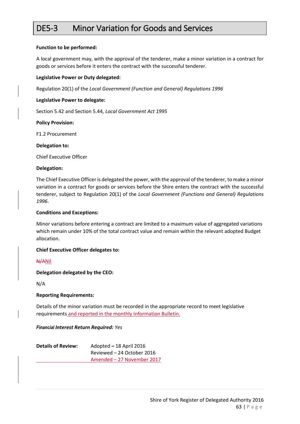### DE5-3 Minor Variation for Goods and Services

#### **Function to be performed:**

A local government may, with the approval of the tenderer, make a minor variation in a contract for goods or services before it enters the contract with the successful tenderer.

#### **Legislative Power or Duty delegated:**

Regulation 20(1) of the *Local Government (Function and General) Regulations 1996*

#### **Legislative Power to delegate:**

Section 5.42 and Section 5.44, *Local Government Act 1995*

#### **Policy Provision:**

F1.2 Procurement

**Delegation to:**

Chief Executive Officer

#### **Delegation:**

The Chief Executive Officer is delegated the power, with the approval of the tenderer, to make a minor variation in a contract for goods or services before the Shire enters the contract with the successful tenderer, subject to Regulation 20(1) of the *Local Government (Functions and General) Regulations 1996*.

#### **Conditions and Exceptions:**

Minor variations before entering a contract are limited to a maximum value of aggregated variations which remain under 10% of the total contract value and remain within the relevant adopted Budget allocation.

#### **Chief Executive Officer delegates to:**

N/ANil

**Delegation delegated by the CEO:**

N/A

#### **Reporting Requirements:**

Details of the minor variation must be recorded in the appropriate record to meet legislative requirements and reported in the monthly Information Bulletin.

#### *Financial Interest Return Required: Yes*

| <b>Details of Review:</b> | Adopted - 18 April 2016    |
|---------------------------|----------------------------|
|                           | Reviewed – 24 October 2016 |
|                           | Amended - 27 November 2017 |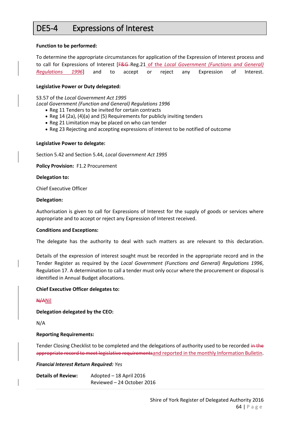### DE5-4 Expressions of Interest

#### **Function to be performed:**

To determine the appropriate circumstances for application of the Expression of Interest process and to call for Expressions of Interest [F&G Reg.21 of the *Local Government (Functions and General) Regulations 1996*] and to accept or reject any Expression of Interest.

#### **Legislative Power or Duty delegated:**

S3.57 of the *Local Government Act 1995*

*Local Government (Function and General) Regulations 1996*

- Reg 11 Tenders to be invited for certain contracts
- Reg 14 (2a), (4)(a) and (5) Requirements for publicly inviting tenders
- Reg 21 Limitation may be placed on who can tender
- Reg 23 Rejecting and accepting expressions of interest to be notified of outcome

#### **Legislative Power to delegate:**

Section 5.42 and Section 5.44, *Local Government Act 1995*

**Policy Provision:** F1.2 Procurement

#### **Delegation to:**

Chief Executive Officer

#### **Delegation:**

Authorisation is given to call for Expressions of Interest for the supply of goods or services where appropriate and to accept or reject any Expression of Interest received.

#### **Conditions and Exceptions:**

The delegate has the authority to deal with such matters as are relevant to this declaration.

Details of the expression of interest sought must be recorded in the appropriate record and in the Tender Register as required by the *Local Government (Functions and General) Regulations 1996*, Regulation 17. A determination to call a tender must only occur where the procurement or disposal is identified in Annual Budget allocations.

#### **Chief Executive Officer delegates to:**

#### N/ANil

**Delegation delegated by the CEO:**

N/A

#### **Reporting Requirements:**

Tender Closing Checklist to be completed and the delegations of authority used to be recorded in the appropriate record to meet legislative requirementsand reported in the monthly Information Bulletin.

*Financial Interest Return Required: Yes*

**Details of Review:** Adopted – 18 April 2016 Reviewed – 24 October 2016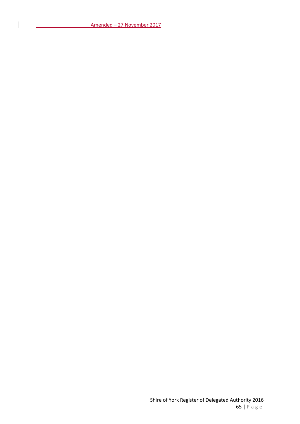Amended – 27 November 2017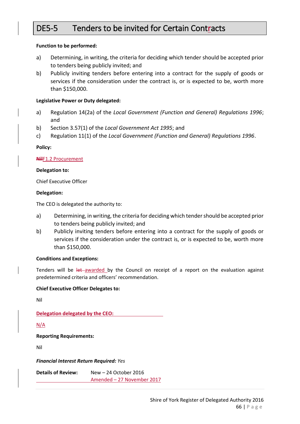### DE5-5 Tenders to be invited for Certain Contracts

#### **Function to be performed:**

- a) Determining, in writing, the criteria for deciding which tender should be accepted prior to tenders being publicly invited; and
- b) Publicly inviting tenders before entering into a contract for the supply of goods or services if the consideration under the contract is, or is expected to be, worth more than \$150,000.

#### **Legislative Power or Duty delegated:**

- a) Regulation 14(2a) of the *Local Government (Function and General) Regulations 1996*; and
- b) Section 3.57(1) of the *Local Government Act 1995*; and
- c) Regulation 11(1) of the *Local Government (Function and General) Regulations 1996*.

#### **Policy:**

#### **Nil**F1.2 Procurement

#### **Delegation to:**

Chief Executive Officer

#### **Delegation:**

The CEO is delegated the authority to:

- a) Determining, in writing, the criteria for deciding which tender should be accepted prior to tenders being publicly invited; and
- b) Publicly inviting tenders before entering into a contract for the supply of goods or services if the consideration under the contract is, or is expected to be, worth more than \$150,000.

#### **Conditions and Exceptions:**

Tenders will be let awarded by the Council on receipt of a report on the evaluation against predetermined criteria and officers' recommendation.

#### **Chief Executive Officer Delegates to:**

Nil

**Delegation delegated by the CEO:**

N/A

#### **Reporting Requirements:**

Nil

*Financial Interest Return Required: Yes*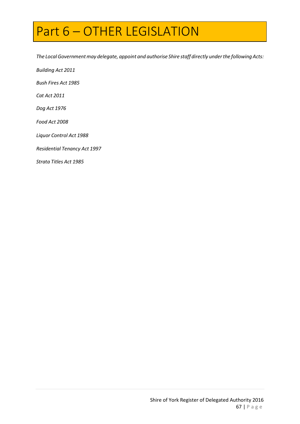# Part 6 – OTHER LEGISLATION

*The LocalGovernmentmay delegate, appoint and authorise Shire staff directly underthe following Acts:*

*Building Act 2011*

*Bush Fires Act 1985*

*Cat Act 2011*

*Dog Act 1976*

*Food Act 2008*

*Liquor Control Act 1988*

*Residential Tenancy Act 1997*

*Strata Titles Act 1985*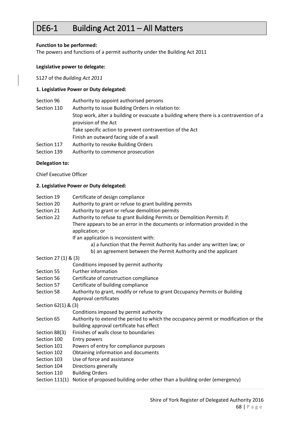### DE6-1 Building Act 2011 – All Matters

#### **Function to be performed:**

The powers and functions of a permit authority under the Building Act 2011

#### **Legislative power to delegate:**

S127 of the *Building Act 2011*

#### **1. Legislative Power or Duty delegated:**

| Section 96  | Authority to appoint authorised persons                                                                        |
|-------------|----------------------------------------------------------------------------------------------------------------|
| Section 110 | Authority to issue Building Orders in relation to:                                                             |
|             | Stop work, alter a building or evacuate a building where there is a contravention of a<br>provision of the Act |
|             | Take specific action to prevent contravention of the Act                                                       |
|             | Finish an outward facing side of a wall                                                                        |
| Section 117 | Authority to revoke Building Orders                                                                            |
| Section 139 | Authority to commence prosecution                                                                              |

#### **Delegation to:**

Chief Executive Officer

#### **2. Legislative Power or Duty delegated:**

- Section 19 Certificate of design compliance
- Section 20 Authority to grant or refuse to grant building permits
- Section 21 Authority to grant or refuse demolition permits
- Section 22 Authority to refuse to grant Building Permits or Demolition Permits if: There appears to be an error in the documents or information provided in the application; or
	- If an application is inconsistent with:
		- a) a function that the Permit Authority has under any written law; or
			- b) an agreement between the Permit Authority and the applicant

#### Section 27 (1) & (3)

- Conditions imposed by permit authority
- Section 55 Further information
- Section 56 Certificate of construction compliance
- Section 57 Certificate of building compliance
- Section 58 Authority to grant, modify or refuse to grant Occupancy Permits or Building Approval certificates
- Section 62(1) & (3)

```
 Conditions imposed by permit authority
```
- Section 65 Authority to extend the period to which the occupancy permit or modification or the building approval certificate has effect
- Section 88(3) Finishes of walls close to boundaries
- Section 100 Entry powers
- Section 101 Powers of entry for compliance purposes
- Section 102 Obtaining information and documents
- Section 103 Use of force and assistance
- Section 104 Directions generally
- Section 110 Building Orders
- Section 111(1) Notice of proposed building order other than a building order (emergency)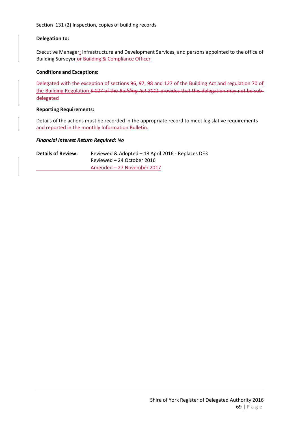Section 131 (2) Inspection, copies of building records

#### **Delegation to:**

Executive Manager: Infrastructure and Development Services, and persons appointed to the office of Building Surveyor or Building & Compliance Officer

#### **Conditions and Exceptions:**

Delegated with the exception of sections 96, 97, 98 and 127 of the Building Act and regulation 70 of the Building Regulation.S 127 of the *Building Act 2011* provides that this delegation may not be subdelegated

#### **Reporting Requirements:**

Details of the actions must be recorded in the appropriate record to meet legislative requirements and reported in the monthly Information Bulletin.

#### *Financial Interest Return Required: No*

**Details of Review:** Reviewed & Adopted – 18 April 2016 - Replaces DE3 Reviewed – 24 October 2016 Amended – 27 November 2017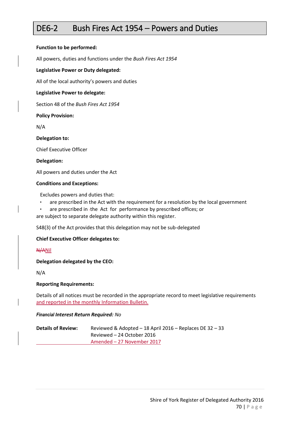### DE6-2 Bush Fires Act 1954 – Powers and Duties

#### **Function to be performed:**

All powers, duties and functions under the *Bush Fires Act 1954*

#### **Legislative Power or Duty delegated:**

All of the local authority's powers and duties

#### **Legislative Power to delegate:**

Section 48 of the *Bush Fires Act 1954*

#### **Policy Provision:**

N/A

#### **Delegation to:**

Chief Executive Officer

#### **Delegation:**

All powers and duties under the Act

#### **Conditions and Exceptions:**

Excludes powers and duties that:

- are prescribed in the Act with the requirement for a resolution by the local government
- are prescribed in the Act for performance by prescribed offices; or

are subject to separate delegate authority within this register.

S48(3) of the Act provides that this delegation may not be sub-delegated

#### **Chief Executive Officer delegates to:**

N/ANil

#### **Delegation delegated by the CEO:**

N/A

#### **Reporting Requirements:**

Details of all notices must be recorded in the appropriate record to meet legislative requirements and reported in the monthly Information Bulletin.

#### *Financial Interest Return Required: No*

| <b>Details of Review:</b> | Reviewed & Adopted $-$ 18 April 2016 $-$ Replaces DE 32 $-$ 33 |
|---------------------------|----------------------------------------------------------------|
|                           | Reviewed – 24 October 2016                                     |
|                           | Amended – 27 November 2017                                     |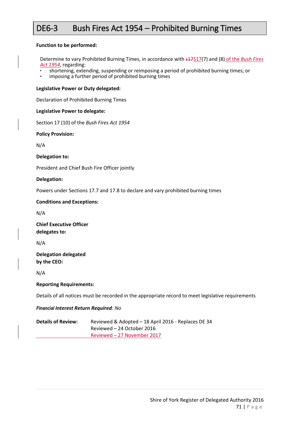### DE6-3 Bush Fires Act 1954 – Prohibited Burning Times

#### **Function to be performed:**

Determine to vary Prohibited Burning Times, in accordance with s17S17(7) and (8) of the *Bush Fires Act 1954*, regarding:

- shortening, extending, suspending or reimposing a period of prohibited burning times; or<br>• imposing a further period of prohibited burning times
- imposing a further period of prohibited burning times

#### **Legislative Power or Duty delegated:**

Declaration of Prohibited Burning Times

#### **Legislative Power to delegate:**

Section 17 (10) of the *Bush Fires Act 1954*

**Policy Provision:** 

N/A

**Delegation to:**

President and Chief Bush Fire Officer jointly

**Delegation:**

Powers under Sections 17.7 and 17.8 to declare and vary prohibited burning times

#### **Conditions and Exceptions:**

N/A

**Chief Executive Officer delegates to:**

N/A

**Delegation delegated by the CEO:**

N/A

#### **Reporting Requirements:**

Details of all notices must be recorded in the appropriate record to meet legislative requirements

*Financial Interest Return Required: No*

| <b>Details of Review:</b> | Reviewed & Adopted - 18 April 2016 - Replaces DE 34 |
|---------------------------|-----------------------------------------------------|
|                           | Reviewed – 24 October 2016                          |
|                           | Reviewed – 27 November 2017                         |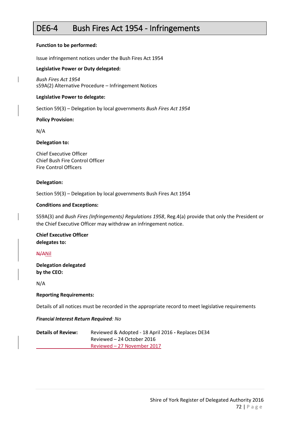### DE6-4 Bush Fires Act 1954 - Infringements

#### **Function to be performed:**

Issue infringement notices under the Bush Fires Act 1954

#### **Legislative Power or Duty delegated:**

*Bush Fires Act 1954* s59A(2) Alternative Procedure – Infringement Notices

#### **Legislative Power to delegate:**

Section 59(3) – Delegation by local governments *Bush Fires Act 1954*

#### **Policy Provision:**

N/A

#### **Delegation to:**

Chief Executive Officer Chief Bush Fire Control Officer Fire Control Officers

#### **Delegation:**

Section 59(3) – Delegation by local governments Bush Fires Act 1954

#### **Conditions and Exceptions:**

S59A(3) and *Bush Fires (Infringements) Regulations 1958*, Reg.4(a) provide that only the President or the Chief Executive Officer may withdraw an infringement notice.

#### **Chief Executive Officer delegates to:**

#### N/ANil

**Delegation delegated by the CEO:**

N/A

#### **Reporting Requirements:**

Details of all notices must be recorded in the appropriate record to meet legislative requirements

#### *Financial Interest Return Required: No*

| <b>Details of Review:</b> | Reviewed & Adopted - 18 April 2016 - Replaces DE34 |
|---------------------------|----------------------------------------------------|
|                           | Reviewed – 24 October 2016                         |
|                           | Reviewed – 27 November 2017                        |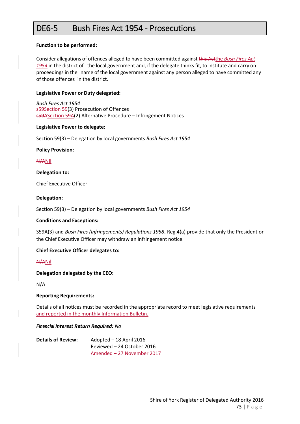### DE6-5 Bush Fires Act 1954 - Prosecutions

#### **Function to be performed:**

Consider allegations of offences alleged to have been committed against this Actthe *Bush Fires Act 1954* in the district of the local government and, if the delegate thinks fit, to institute and carry on proceedings in the name of the local government against any person alleged to have committed any of those offences in the district.

#### **Legislative Power or Duty delegated:**

*Bush Fires Act 1954* s59Section 59(3) Prosecution of Offences s59ASection 59A(2) Alternative Procedure – Infringement Notices

#### **Legislative Power to delegate:**

Section 59(3) – Delegation by local governments *Bush Fires Act 1954*

#### **Policy Provision:**

#### N/ANil

#### **Delegation to:**

Chief Executive Officer

#### **Delegation:**

Section 59(3) – Delegation by local governments *Bush Fires Act 1954*

#### **Conditions and Exceptions:**

S59A(3) and *Bush Fires (Infringements) Regulations 1958*, Reg.4(a) provide that only the President or the Chief Executive Officer may withdraw an infringement notice.

#### **Chief Executive Officer delegates to:**

#### N/ANil

**Delegation delegated by the CEO:**

N/A

#### **Reporting Requirements:**

Details of all notices must be recorded in the appropriate record to meet legislative requirements and reported in the monthly Information Bulletin.

#### *Financial Interest Return Required: No*

| <b>Details of Review:</b> | Adopted - 18 April 2016    |
|---------------------------|----------------------------|
|                           | Reviewed – 24 October 2016 |
|                           | Amended - 27 November 2017 |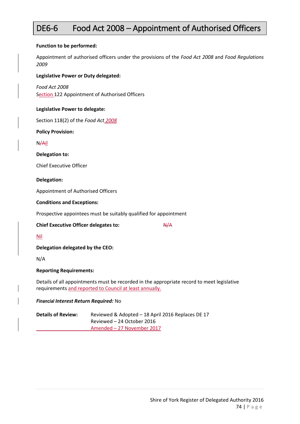# DE6-6 Food Act 2008 – Appointment of Authorised Officers

#### **Function to be performed:**

Appointment of authorised officers under the provisions of the *Food Act 2008* and *Food Regulations 2009*

#### **Legislative Power or Duty delegated:**

*Food Act 2008* Section 122 Appointment of Authorised Officers

#### **Legislative Power to delegate:**

Section 118(2) of the *Food Act 2008*

**Policy Provision:** 

N/Ail

**Delegation to:**

Chief Executive Officer

#### **Delegation:**

Appointment of Authorised Officers

#### **Conditions and Exceptions:**

Prospective appointees must be suitably qualified for appointment

#### **Chief Executive Officer delegates to:** N/A

Nil

**Delegation delegated by the CEO:**

N/A

#### **Reporting Requirements:**

Details of all appointments must be recorded in the appropriate record to meet legislative requirements and reported to Council at least annually.

#### *Financial Interest Return Required:* No

**Details of Review:** Reviewed & Adopted – 18 April 2016 Replaces DE 17 Reviewed – 24 October 2016 Amended – 27 November 2017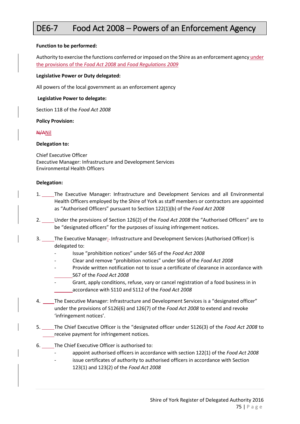# DE6-7 Food Act 2008 – Powers of an Enforcement Agency

#### **Function to be performed:**

Authority to exercise the functions conferred or imposed on the Shire as an enforcement agency under the provisions of the *Food Act 2008* and *Food Regulations 2009*

#### **Legislative Power or Duty delegated:**

All powers of the local government as an enforcement agency

#### **Legislative Power to delegate:**

Section 118 of the *Food Act 2008*

#### **Policy Provision:**

#### N/ANil

#### **Delegation to:**

Chief Executive Officer Executive Manager: Infrastructure and Development Services Environmental Health Officers

#### **Delegation:**

- 1. The Executive Manager: Infrastructure and Development Services and all Environmental Health Officers employed by the Shire of York as staff members or contractors are appointed as "Authorised Officers" pursuant to Section 122(1)(b) of the *Food Act 2008*
- 2. Under the provisions of Section 126(2) of the *Food Act 2008* the "Authorised Officers" are to be "designated officers" for the purposes of issuing infringement notices.
- 3. The Executive Manager: Infrastructure and Development Services (Authorised Officer) is delegated to:
	- Issue "prohibition notices" under S65 of the *Food Act 2008*
	- Clear and remove "prohibition notices" under S66 of the *Food Act 2008*
	- Provide written notification not to issue a certificate of clearance in accordance with S67 of the *Food Act 2008*
	- Grant, apply conditions, refuse, vary or cancel registration of a food business in in accordance with S110 and S112 of the *Food Act 2008*
- 4. The Executive Manager: Infrastructure and Development Services is a "designated officer" under the provisions of S126(6) and 126(7) of the *Food Act 2008* to extend and revoke 'infringement notices'.
- 5. The Chief Executive Officer is the "designated officer under S126(3) of the *Food Act 2008* to receive payment for infringement notices.
- 6. The Chief Executive Officer is authorised to:
	- appoint authorised officers in accordance with section 122(1) of the *Food Act 2008*
	- issue certificates of authority to authorised officers in accordance with Section 123(1) and 123(2) of the *Food Act 2008*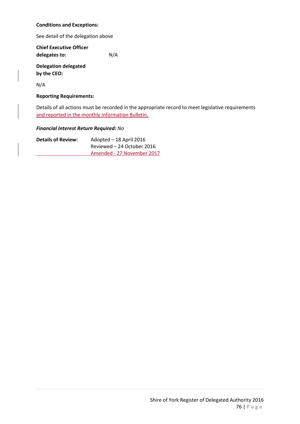#### **Conditions and Exceptions:**

See detail of the delegation above

**Chief Executive Officer delegates to:** N/A

**Delegation delegated by the CEO:**

N/A

#### **Reporting Requirements:**

Details of all actions must be recorded in the appropriate record to meet legislative requirements and reported in the monthly Information Bulletin.

#### *Financial Interest Return Required: No*

| <b>Details of Review:</b> | Adopted - 18 April 2016    |
|---------------------------|----------------------------|
|                           | Reviewed – 24 October 2016 |
|                           | Amended - 27 November 2017 |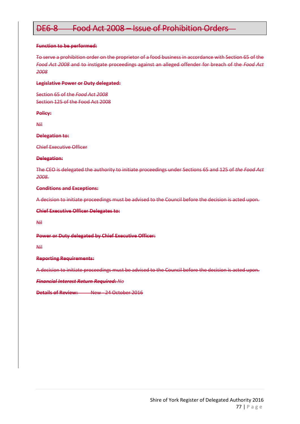# DE6-8 Food Act 2008 – Issue of Prohibition Orders

#### **Function to be performed:**

To serve a prohibition order on the proprietor of a food business in accordance with Section 65 of the *Food Act 2008* and to instigate proceedings against an alleged offender for breach of the *Food Act 2008*

#### **Legislative Power or Duty delegated:**

Section 65 of the *Food Act 2008*  Section 125 of the Food Act 2008

#### **Policy:**

Nil

#### **Delegation to:**

Chief Executive Officer

#### **Delegation:**

The CEO is delegated the authority to initiate proceedings under Sections 65 and 125 of *the Food Act 2008.*

#### **Conditions and Exceptions:**

A decision to initiate proceedings must be advised to the Council before the decision is acted upon.

#### **Chief Executive Officer Delegates to:**

Nil

#### **Power or Duty delegated by Chief Executive Officer:**

Nil

#### **Reporting Requirements:**

A decision to initiate proceedings must be advised to the Council before the decision is acted upon.

#### *Financial Interest Return Required: No*

**Details of Review:** New - 24 October 2016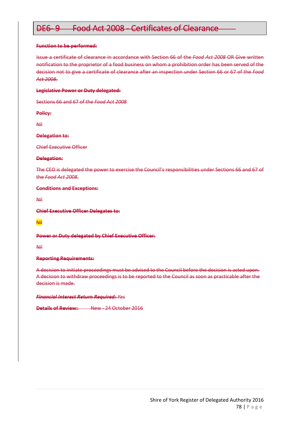# DE6- 9 Food Act 2008 - Certificates of Clearance

#### **Function to be performed:**

Issue a certificate of clearance in accordance with Section 66 of the *Food Act 2008* OR Give written notification to the proprietor of a food business on whom a prohibition order has been served of the decision not to give a certificate of clearance after an inspection under Section 66 or 67 of the *Food Act 2008*.

#### **Legislative Power or Duty delegated:**

Sections 66 and 67 of the *Food Act 2008*

**Policy:**

Nil

**Delegation to:**

Chief Executive Officer

#### **Delegation:**

The CEO is delegated the power to exercise the Council's responsibilities under Sections 66 and 67 of the *Food Act 2008*.

**Conditions and Exceptions:**

Nil

**Chief Executive Officer Delegates to:**

Nil

#### **Power or Duty delegated by Chief Executive Officer:**

Nil

#### **Reporting Requirements:**

A decision to initiate proceedings must be advised to the Council before the decision is acted upon. A decision to withdraw proceedings is to be reported to the Council as soon as practicable after the decision is made.

#### *Financial Interest Return Required: Yes*

**Details of Review:** New - 24 October 2016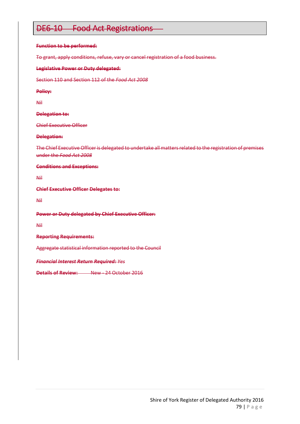### DE6-10 Food Act Registrations

#### **Function to be performed:**

To grant, apply conditions, refuse, vary or cancel registration of a food business.

#### **Legislative Power or Duty delegated:**

Section 110 and Section 112 of the *Food Act 2008*

#### **Policy:**

Nil

#### **Delegation to:**

Chief Executive Officer

#### **Delegation:**

The Chief Executive Officer is delegated to undertake all matters related to the registration of premises under the *Food Act 2008*

#### **Conditions and Exceptions:**

Nil

**Chief Executive Officer Delegates to:**

Nil

**Power or Duty delegated by Chief Executive Officer:**

Nil

**Reporting Requirements:**

Aggregate statistical information reported to the Council

*Financial Interest Return Required: Yes*

**Details of Review:** New - 24 October 2016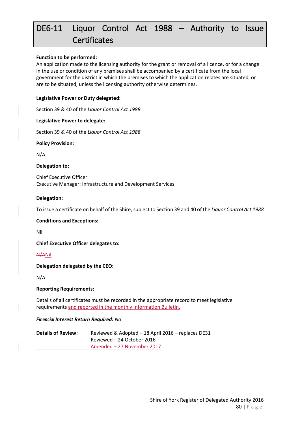# DE6-11 Liquor Control Act 1988 – Authority to Issue **Certificates**

#### **Function to be performed:**

An application made to the licensing authority for the grant or removal of a licence, or for a change in the use or condition of any premises shall be accompanied by a certificate from the local government for the district in which the premises to which the application relates are situated, or are to be situated, unless the licensing authority otherwise determines.

#### **Legislative Power or Duty delegated:**

Section 39 & 40 of the *Liquor Control Act 1988*

#### **Legislative Power to delegate:**

Section 39 & 40 of the *Liquor Control Act 1988*

**Policy Provision:** 

N/A

#### **Delegation to:**

Chief Executive Officer Executive Manager: Infrastructure and Development Services

#### **Delegation:**

To issue a certificate on behalf of the Shire, subject to Section 39 and 40 of the *Liquor Control Act 1988*

#### **Conditions and Exceptions:**

Nil

**Chief Executive Officer delegates to:**

N/ANil

**Delegation delegated by the CEO:**

N/A

#### **Reporting Requirements:**

Details of all certificates must be recorded in the appropriate record to meet legislative requirements and reported in the monthly Information Bulletin.

#### *Financial Interest Return Required: No*

| <b>Details of Review:</b> | Reviewed & Adopted - 18 April 2016 - replaces DE31 |
|---------------------------|----------------------------------------------------|
|                           | Reviewed – 24 October 2016                         |
|                           | Amended – 27 November 2017                         |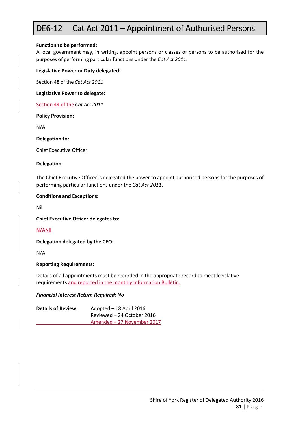### DE6-12 Cat Act 2011 – Appointment of Authorised Persons

#### **Function to be performed:**

A local government may, in writing, appoint persons or classes of persons to be authorised for the purposes of performing particular functions under the *Cat Act 2011*.

#### **Legislative Power or Duty delegated:**

Section 48 of the *Cat Act 2011*

**Legislative Power to delegate:** 

Section 44 of the *Cat Act 2011*

#### **Policy Provision:**

N/A

**Delegation to:**

Chief Executive Officer

#### **Delegation:**

The Chief Executive Officer is delegated the power to appoint authorised persons for the purposes of performing particular functions under the *Cat Act 2011*.

#### **Conditions and Exceptions:**

Nil

**Chief Executive Officer delegates to:**

#### N/ANil

**Delegation delegated by the CEO:**

N/A

#### **Reporting Requirements:**

Details of all appointments must be recorded in the appropriate record to meet legislative requirements and reported in the monthly Information Bulletin.

#### *Financial Interest Return Required: No*

**Details of Review:** Adopted – 18 April 2016 Reviewed – 24 October 2016 Amended – 27 November 2017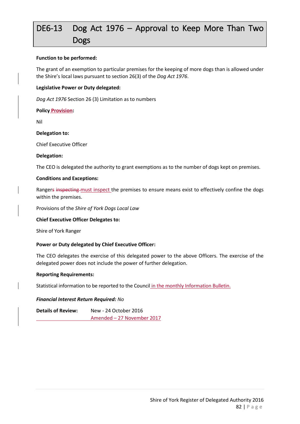# DE6-13 Dog Act 1976 – Approval to Keep More Than Two Dogs

#### **Function to be performed:**

The grant of an exemption to particular premises for the keeping of more dogs than is allowed under the Shire's local laws pursuant to section 26(3) of the *Dog Act 1976*.

#### **Legislative Power or Duty delegated:**

*Dog Act 1976* Section 26 (3) Limitation as to numbers

#### **Policy Provision:**

Nil

#### **Delegation to:**

Chief Executive Officer

#### **Delegation:**

The CEO is delegated the authority to grant exemptions as to the number of dogs kept on premises.

#### **Conditions and Exceptions:**

Rangers inspecting must inspect the premises to ensure means exist to effectively confine the dogs within the premises.

Provisions of the *Shire of York Dogs Local Law*

#### **Chief Executive Officer Delegates to:**

Shire of York Ranger

#### **Power or Duty delegated by Chief Executive Officer:**

The CEO delegates the exercise of this delegated power to the above Officers. The exercise of the delegated power does not include the power of further delegation.

#### **Reporting Requirements:**

Statistical information to be reported to the Council in the monthly Information Bulletin.

#### *Financial Interest Return Required: No*

**Details of Review:** New - 24 October 2016 Amended – 27 November 2017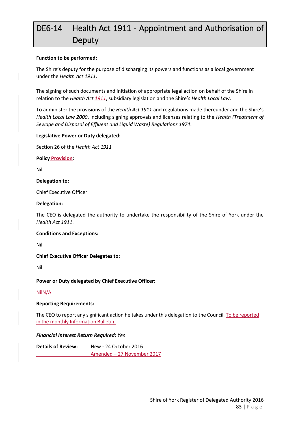# DE6-14 Health Act 1911 - Appointment and Authorisation of **Deputy**

#### **Function to be performed:**

The Shire's deputy for the purpose of discharging its powers and functions as a local government under the *Health Act 1911*.

The signing of such documents and initiation of appropriate legal action on behalf of the Shire in relation to the *Health Act 1911*, subsidiary legislation and the Shire's *Health Local Law*.

To administer the provisions of the *Health Act 1911* and regulations made thereunder and the Shire's *Health Local Law 2000*, including signing approvals and licenses relating to the *Health (Treatment of Sewage and Disposal of Effluent and Liquid Waste) Regulations 1974*.

#### **Legislative Power or Duty delegated:**

Section 26 of the *Health Act 1911*

**Policy Provision:**

Nil

#### **Delegation to:**

Chief Executive Officer

#### **Delegation:**

The CEO is delegated the authority to undertake the responsibility of the Shire of York under the *Health Act 1911*.

#### **Conditions and Exceptions:**

Nil

**Chief Executive Officer Delegates to:**

Nil

**Power or Duty delegated by Chief Executive Officer:**

#### NilN/A

#### **Reporting Requirements:**

The CEO to report any significant action he takes under this delegation to the Council. To be reported in the monthly Information Bulletin.

#### *Financial Interest Return Required: Yes*

**Details of Review:** New - 24 October 2016 Amended – 27 November 2017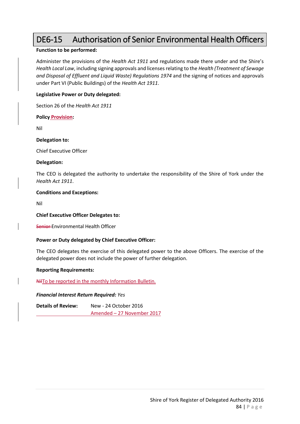# DE6-15 Authorisation of Senior Environmental Health Officers

#### **Function to be performed:**

Administer the provisions of the *Health Act 1911* and regulations made there under and the Shire's *Health Local Law*, including signing approvals and licenses relating to the *Health (Treatment of Sewage and Disposal of Effluent and Liquid Waste) Regulations 1974* and the signing of notices and approvals under Part VI (Public Buildings) of the *Health Act 1911*.

#### **Legislative Power or Duty delegated:**

Section 26 of the *Health Act 1911*

**Policy Provision:**

Nil

**Delegation to:**

Chief Executive Officer

#### **Delegation:**

The CEO is delegated the authority to undertake the responsibility of the Shire of York under the *Health Act 1911*.

#### **Conditions and Exceptions:**

Nil

#### **Chief Executive Officer Delegates to:**

Senior Environmental Health Officer

#### **Power or Duty delegated by Chief Executive Officer:**

The CEO delegates the exercise of this delegated power to the above Officers. The exercise of the delegated power does not include the power of further delegation.

#### **Reporting Requirements:**

NilTo be reported in the monthly Information Bulletin.

#### *Financial Interest Return Required: Yes*

**Details of Review:** New - 24 October 2016 Amended – 27 November 2017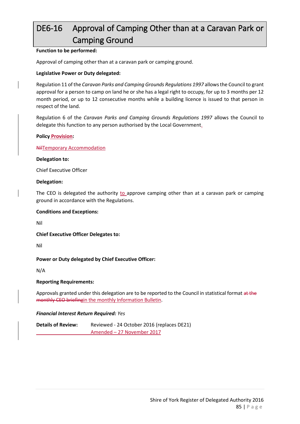# DE6-16 Approval of Camping Other than at a Caravan Park or Camping Ground

#### **Function to be performed:**

Approval of camping other than at a caravan park or camping ground.

#### **Legislative Power or Duty delegated:**

Regulation 11 of the *Caravan Parks and Camping Grounds Regulations 1997* allows the Council to grant approval for a person to camp on land he or she has a legal right to occupy, for up to 3 months per 12 month period, or up to 12 consecutive months while a building licence is issued to that person in respect of the land.

Regulation 6 of the *Caravan Parks and Camping Grounds Regulations 1997* allows the Council to delegate this function to any person authorised by the Local Government.

#### **Policy Provision:**

#### NilTemporary Accommodation

#### **Delegation to:**

Chief Executive Officer

#### **Delegation:**

The CEO is delegated the authority to approve camping other than at a caravan park or camping ground in accordance with the Regulations.

#### **Conditions and Exceptions:**

Nil

**Chief Executive Officer Delegates to:**

Nil

#### **Power or Duty delegated by Chief Executive Officer:**

N/A

#### **Reporting Requirements:**

Approvals granted under this delegation are to be reported to the Council in statistical format at the monthly CEO briefingin the monthly Information Bulletin.

#### *Financial Interest Return Required: Yes*

**Details of Review:** Reviewed - 24 October 2016 (replaces DE21) Amended – 27 November 2017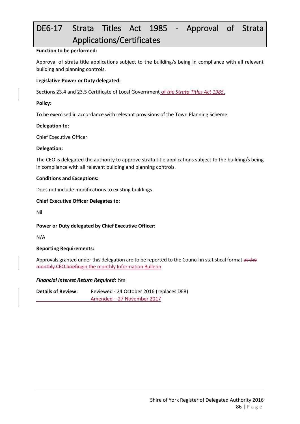# DE6-17 Strata Titles Act 1985 - Approval of Strata Applications/Certificates

#### **Function to be performed:**

Approval of strata title applications subject to the building/s being in compliance with all relevant building and planning controls.

#### **Legislative Power or Duty delegated:**

Sections 23.4 and 23.5 Certificate of Local Government of *the Strata Titles Act 1985*.

#### **Policy:**

To be exercised in accordance with relevant provisions of the Town Planning Scheme

#### **Delegation to:**

Chief Executive Officer

#### **Delegation:**

The CEO is delegated the authority to approve strata title applications subject to the building/s being in compliance with all relevant building and planning controls.

#### **Conditions and Exceptions:**

Does not include modifications to existing buildings

#### **Chief Executive Officer Delegates to:**

Nil

#### **Power or Duty delegated by Chief Executive Officer:**

N/A

#### **Reporting Requirements:**

Approvals granted under this delegation are to be reported to the Council in statistical format at the monthly CEO briefingin the monthly Information Bulletin.

#### *Financial Interest Return Required: Yes*

**Details of Review:** Reviewed - 24 October 2016 (replaces DE8) Amended – 27 November 2017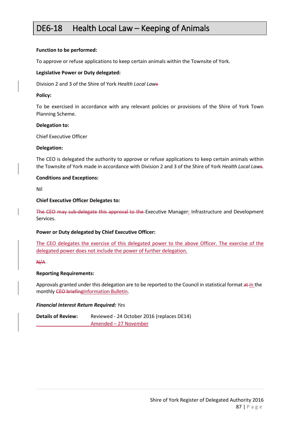### DE6-18 Health Local Law – Keeping of Animals

#### **Function to be performed:**

To approve or refuse applications to keep certain animals within the Townsite of York.

#### **Legislative Power or Duty delegated:**

Division 2 and 3 of the Shire of York *Health Local Laws*

#### **Policy:**

To be exercised in accordance with any relevant policies or provisions of the Shire of York Town Planning Scheme.

#### **Delegation to:**

Chief Executive Officer

#### **Delegation:**

The CEO is delegated the authority to approve or refuse applications to keep certain animals within the Townsite of York made in accordance with Division 2 and 3 of the Shire of York *Health Local Laws.*

#### **Conditions and Exceptions:**

Nil

#### **Chief Executive Officer Delegates to:**

The CEO may sub-delegate this approval to the Executive Manager: Infrastructure and Development Services.

#### **Power or Duty delegated by Chief Executive Officer:**

The CEO delegates the exercise of this delegated power to the above Officer. The exercise of the delegated power does not include the power of further delegation.

#### N/A

#### **Reporting Requirements:**

Approvals granted under this delegation are to be reported to the Council in statistical format  $a \text{+}$  in the monthly CEO briefingInformation Bulletin.

#### *Financial Interest Return Required: Yes*

**Details of Review:** Reviewed - 24 October 2016 (replaces DE14) Amended – 27 November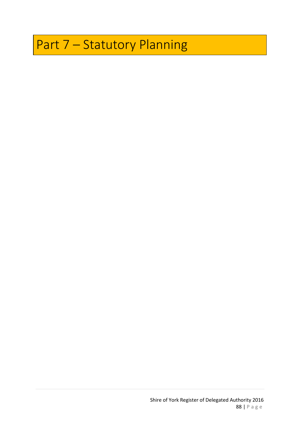# Part 7 – Statutory Planning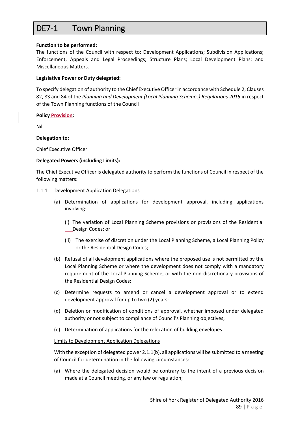# DE7-1 Town Planning

#### **Function to be performed:**

The functions of the Council with respect to: Development Applications; Subdivision Applications; Enforcement, Appeals and Legal Proceedings; Structure Plans; Local Development Plans; and Miscellaneous Matters.

#### **Legislative Power or Duty delegated:**

To specify delegation of authority to the Chief Executive Officer in accordance with Schedule 2, Clauses 82, 83 and 84 of the *Planning and Development (Local Planning Schemes) Regulations 2015* in respect of the Town Planning functions of the Council

#### **Policy Provision:**

Nil

#### **Delegation to:**

Chief Executive Officer

#### **Delegated Powers (including Limits):**

The Chief Executive Officer is delegated authority to perform the functions of Council in respect of the following matters:

#### 1.1.1 Development Application Delegations

- (a) Determination of applications for development approval, including applications involving:
	- (i) The variation of Local Planning Scheme provisions or provisions of the Residential Design Codes; or
	- (ii) The exercise of discretion under the Local Planning Scheme, a Local Planning Policy or the Residential Design Codes;
- (b) Refusal of all development applications where the proposed use is not permitted by the Local Planning Scheme or where the development does not comply with a mandatory requirement of the Local Planning Scheme, or with the non-discretionary provisions of the Residential Design Codes;
- (c) Determine requests to amend or cancel a development approval or to extend development approval for up to two (2) years;
- (d) Deletion or modification of conditions of approval, whether imposed under delegated authority or not subject to compliance of Council's Planning objectives;
- (e) Determination of applications for the relocation of building envelopes.

#### Limits to Development Application Delegations

With the exception of delegated power 2.1.1(b), all applications will be submitted to a meeting of Council for determination in the following circumstances:

(a) Where the delegated decision would be contrary to the intent of a previous decision made at a Council meeting, or any law or regulation;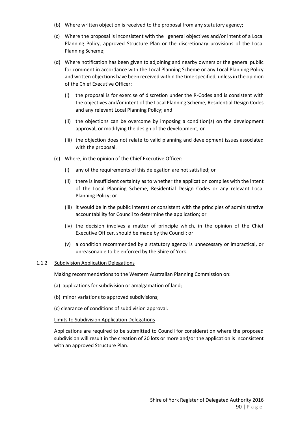- (b) Where written objection is received to the proposal from any statutory agency;
- (c) Where the proposal is inconsistent with the general objectives and/or intent of a Local Planning Policy, approved Structure Plan or the discretionary provisions of the Local Planning Scheme;
- (d) Where notification has been given to adjoining and nearby owners or the general public for comment in accordance with the Local Planning Scheme or any Local Planning Policy and written objections have been received within the time specified, unless in the opinion of the Chief Executive Officer:
	- (i) the proposal is for exercise of discretion under the R-Codes and is consistent with the objectives and/or intent of the Local Planning Scheme, Residential Design Codes and any relevant Local Planning Policy; and
	- (ii) the objections can be overcome by imposing a condition(s) on the development approval, or modifying the design of the development; or
	- (iii) the objection does not relate to valid planning and development issues associated with the proposal.
- (e) Where, in the opinion of the Chief Executive Officer:
	- (i) any of the requirements of this delegation are not satisfied; or
	- (ii) there is insufficient certainty as to whether the application complies with the intent of the Local Planning Scheme, Residential Design Codes or any relevant Local Planning Policy; or
	- (iii) it would be in the public interest or consistent with the principles of administrative accountability for Council to determine the application; or
	- (iv) the decision involves a matter of principle which, in the opinion of the Chief Executive Officer, should be made by the Council; or
	- (v) a condition recommended by a statutory agency is unnecessary or impractical, or unreasonable to be enforced by the Shire of York.

#### 1.1.2 Subdivision Application Delegations

Making recommendations to the Western Australian Planning Commission on:

- (a) applications for subdivision or amalgamation of land;
- (b) minor variations to approved subdivisions;
- (c) clearance of conditions of subdivision approval.

#### Limits to Subdivision Application Delegations

Applications are required to be submitted to Council for consideration where the proposed subdivision will result in the creation of 20 lots or more and/or the application is inconsistent with an approved Structure Plan.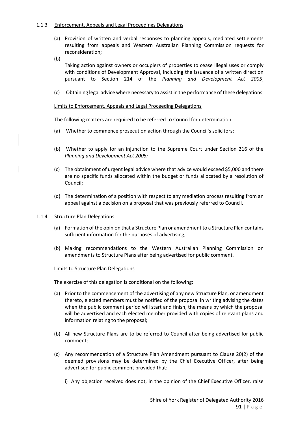#### 1.1.3 Enforcement, Appeals and Legal Proceedings Delegations

- (a) Provision of written and verbal responses to planning appeals, mediated settlements resulting from appeals and Western Australian Planning Commission requests for reconsideration;
- (b)

Taking action against owners or occupiers of properties to cease illegal uses or comply with conditions of Development Approval, including the issuance of a written direction pursuant to Section 214 of the *Planning and Development Act 2005*;

(c) Obtaining legal advice where necessary to assist in the performance of these delegations.

#### Limits to Enforcement, Appeals and Legal Proceeding Delegations

The following matters are required to be referred to Council for determination:

- (a) Whether to commence prosecution action through the Council's solicitors;
- (b) Whether to apply for an injunction to the Supreme Court under Section 216 of the *Planning and Development Act 2005;*
- (c) The obtainment of urgent legal advice where that advice would exceed \$5,000 and there are no specific funds allocated within the budget or funds allocated by a resolution of Council;
- (d) The determination of a position with respect to any mediation process resulting from an appeal against a decision on a proposal that was previously referred to Council.

#### 1.1.4 Structure Plan Delegations

- (a) Formation of the opinion that a Structure Plan or amendment to a Structure Plan contains sufficient information for the purposes of advertising;
- (b) Making recommendations to the Western Australian Planning Commission on amendments to Structure Plans after being advertised for public comment.

#### Limits to Structure Plan Delegations

The exercise of this delegation is conditional on the following:

- (a) Prior to the commencement of the advertising of any new Structure Plan, or amendment thereto, elected members must be notified of the proposal in writing advising the dates when the public comment period will start and finish, the means by which the proposal will be advertised and each elected member provided with copies of relevant plans and information relating to the proposal;
- (b) All new Structure Plans are to be referred to Council after being advertised for public comment;
- (c) Any recommendation of a Structure Plan Amendment pursuant to Clause 20(2) of the deemed provisions may be determined by the Chief Executive Officer, after being advertised for public comment provided that:
	- i) Any objection received does not, in the opinion of the Chief Executive Officer, raise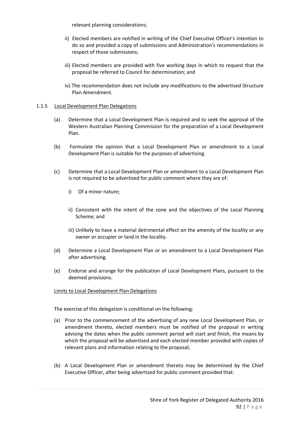relevant planning considerations;

- ii) Elected members are notified in writing of the Chief Executive Officer's intention to do so and provided a copy of submissions and Administration's recommendations in respect of those submissions;
- iii) Elected members are provided with five working days in which to request that the proposal be referred to Council for determination; and
- iv) The recommendation does not include any modifications to the advertised Structure Plan Amendment.

#### 1.1.5 Local Development Plan Delegations

- (a) Determine that a Local Development Plan is required and to seek the approval of the Western Australian Planning Commission for the preparation of a Local Development Plan.
- (b) Formulate the opinion that a Local Development Plan or amendment to a Local Development Plan is suitable for the purposes of advertising.
- (c) Determine that a Local Development Plan or amendment to a Local Development Plan is not required to be advertised for public comment where they are of:
	- i) Of a minor nature;
	- ii) Consistent with the intent of the zone and the objectives of the Local Planning Scheme; and
	- iii) Unlikely to have a material detrimental effect on the amenity of the locality or any owner or occupier or land in the locality.
- (d) Determine a Local Development Plan or an amendment to a Local Development Plan after advertising.
- (e) Endorse and arrange for the publication of Local Development Plans, pursuant to the deemed provisions.

#### Limits to Local Development Plan Delegations

The exercise of this delegation is conditional on the following:

- (a) Prior to the commencement of the advertising of any new Local Development Plan, or amendment thereto, elected members must be notified of the proposal in writing advising the dates when the public comment period will start and finish, the means by which the proposal will be advertised and each elected member provided with copies of relevant plans and information relating to the proposal;
- (b) A Local Development Plan or amendment thereto may be determined by the Chief Executive Officer, after being advertised for public comment provided that: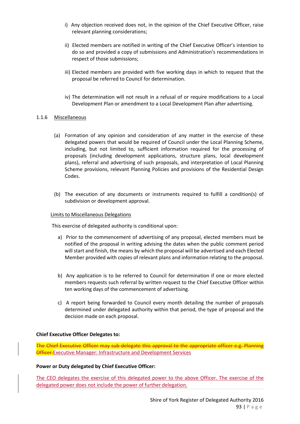- i) Any objection received does not, in the opinion of the Chief Executive Officer, raise relevant planning considerations;
- ii) Elected members are notified in writing of the Chief Executive Officer's intention to do so and provided a copy of submissions and Administration's recommendations in respect of those submissions;
- iii) Elected members are provided with five working days in which to request that the proposal be referred to Council for determination.
- iv) The determination will not result in a refusal of or require modifications to a Local Development Plan or amendment to a Local Development Plan after advertising.

#### 1.1.6 Miscellaneous

- (a) Formation of any opinion and consideration of any matter in the exercise of these delegated powers that would be required of Council under the Local Planning Scheme, including, but not limited to, sufficient information required for the processing of proposals (including development applications, structure plans, local development plans), referral and advertising of such proposals, and interpretation of Local Planning Scheme provisions, relevant Planning Policies and provisions of the Residential Design Codes.
- (b) The execution of any documents or instruments required to fulfill a condition(s) of subdivision or development approval.

#### Limits to Miscellaneous Delegations

This exercise of delegated authority is conditional upon:

- a) Prior to the commencement of advertising of any proposal, elected members must be notified of the proposal in writing advising the dates when the public comment period will start and finish, the means by which the proposal will be advertised and each Elected Member provided with copies of relevant plans and information relating to the proposal.
- b) Any application is to be referred to Council for determination if one or more elected members requests such referral by written request to the Chief Executive Officer within ten working days of the commencement of advertising.
- c) A report being forwarded to Council every month detailing the number of proposals determined under delegated authority within that period, the type of proposal and the decision made on each proposal.

#### **Chief Executive Officer Delegates to:**

The Chief Executive Officer may sub-delegate this approval to the appropriate officer e.g. Planning **Officer.** Executive Manager: Infrastructure and Development Services

#### **Power or Duty delegated by Chief Executive Officer:**

The CEO delegates the exercise of this delegated power to the above Officer. The exercise of the delegated power does not include the power of further delegation.